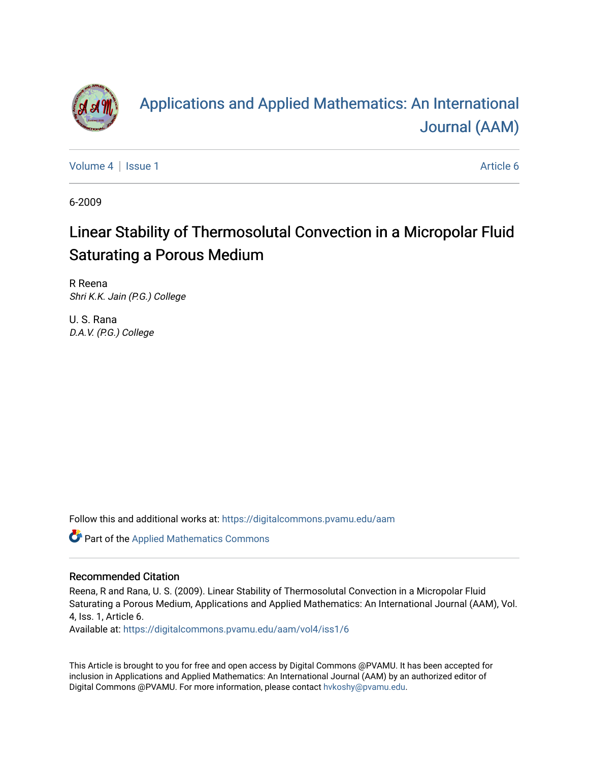

# [Applications and Applied Mathematics: An International](https://digitalcommons.pvamu.edu/aam)  [Journal \(AAM\)](https://digitalcommons.pvamu.edu/aam)

[Volume 4](https://digitalcommons.pvamu.edu/aam/vol4) | [Issue 1](https://digitalcommons.pvamu.edu/aam/vol4/iss1) Article 6

6-2009

# Linear Stability of Thermosolutal Convection in a Micropolar Fluid Saturating a Porous Medium

R Reena Shri K.K. Jain (P.G.) College

U. S. Rana D.A.V. (P.G.) College

Follow this and additional works at: [https://digitalcommons.pvamu.edu/aam](https://digitalcommons.pvamu.edu/aam?utm_source=digitalcommons.pvamu.edu%2Faam%2Fvol4%2Fiss1%2F6&utm_medium=PDF&utm_campaign=PDFCoverPages) 

Part of the [Applied Mathematics Commons](http://network.bepress.com/hgg/discipline/115?utm_source=digitalcommons.pvamu.edu%2Faam%2Fvol4%2Fiss1%2F6&utm_medium=PDF&utm_campaign=PDFCoverPages)

## Recommended Citation

Reena, R and Rana, U. S. (2009). Linear Stability of Thermosolutal Convection in a Micropolar Fluid Saturating a Porous Medium, Applications and Applied Mathematics: An International Journal (AAM), Vol. 4, Iss. 1, Article 6.

Available at: [https://digitalcommons.pvamu.edu/aam/vol4/iss1/6](https://digitalcommons.pvamu.edu/aam/vol4/iss1/6?utm_source=digitalcommons.pvamu.edu%2Faam%2Fvol4%2Fiss1%2F6&utm_medium=PDF&utm_campaign=PDFCoverPages) 

This Article is brought to you for free and open access by Digital Commons @PVAMU. It has been accepted for inclusion in Applications and Applied Mathematics: An International Journal (AAM) by an authorized editor of Digital Commons @PVAMU. For more information, please contact [hvkoshy@pvamu.edu.](mailto:hvkoshy@pvamu.edu)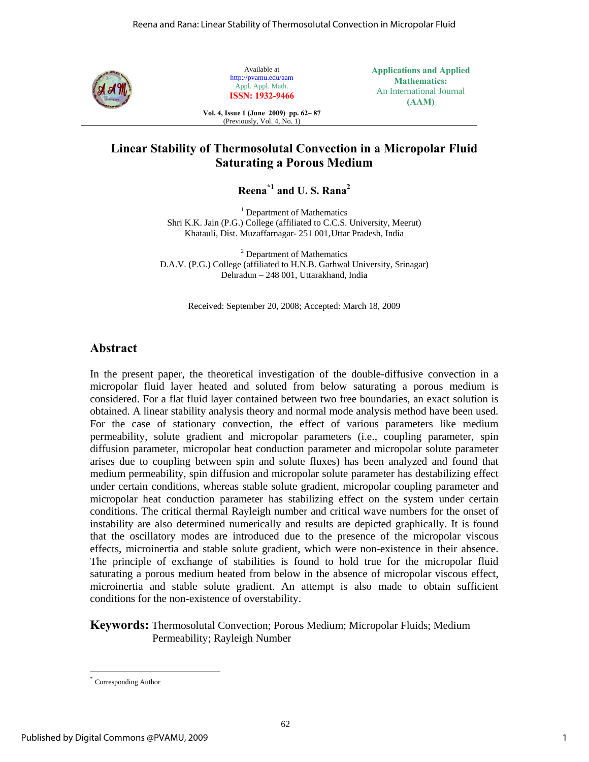

Available at http://pvamu.edu/aam Appl. Appl. Math. **ISSN: 1932-9466**

**Applications and Applied Mathematics:**  An International Journal **(AAM)** 

**Vol. 4, Issue 1 (June 2009) pp. 62– 87**  (Previously, Vol. 4, No. 1)

# **Linear Stability of Thermosolutal Convection in a Micropolar Fluid Saturating a Porous Medium**

**Reena\*1 and U. S. Rana2**

<sup>1</sup> Department of Mathematics Shri K.K. Jain (P.G.) College (affiliated to C.C.S. University, Meerut) Khatauli, Dist. Muzaffarnagar- 251 001, Uttar Pradesh, India

<sup>2</sup> Department of Mathematics D.A.V. (P.G.) College (affiliated to H.N.B. Garhwal University, Srinagar) Dehradun – 248 001, Uttarakhand, India

Received: September 20, 2008; Accepted: March 18, 2009

## **Abstract**

In the present paper, the theoretical investigation of the double-diffusive convection in a micropolar fluid layer heated and soluted from below saturating a porous medium is considered. For a flat fluid layer contained between two free boundaries, an exact solution is obtained. A linear stability analysis theory and normal mode analysis method have been used. For the case of stationary convection, the effect of various parameters like medium permeability, solute gradient and micropolar parameters (i.e., coupling parameter, spin diffusion parameter, micropolar heat conduction parameter and micropolar solute parameter arises due to coupling between spin and solute fluxes) has been analyzed and found that medium permeability, spin diffusion and micropolar solute parameter has destabilizing effect under certain conditions, whereas stable solute gradient, micropolar coupling parameter and micropolar heat conduction parameter has stabilizing effect on the system under certain conditions. The critical thermal Rayleigh number and critical wave numbers for the onset of instability are also determined numerically and results are depicted graphically. It is found that the oscillatory modes are introduced due to the presence of the micropolar viscous effects, microinertia and stable solute gradient, which were non-existence in their absence. The principle of exchange of stabilities is found to hold true for the micropolar fluid saturating a porous medium heated from below in the absence of micropolar viscous effect, microinertia and stable solute gradient. An attempt is also made to obtain sufficient conditions for the non-existence of overstability.

**Keywords:** Thermosolutal Convection; Porous Medium; Micropolar Fluids; Medium Permeability; Rayleigh Number

 $\overline{a}$ Corresponding Author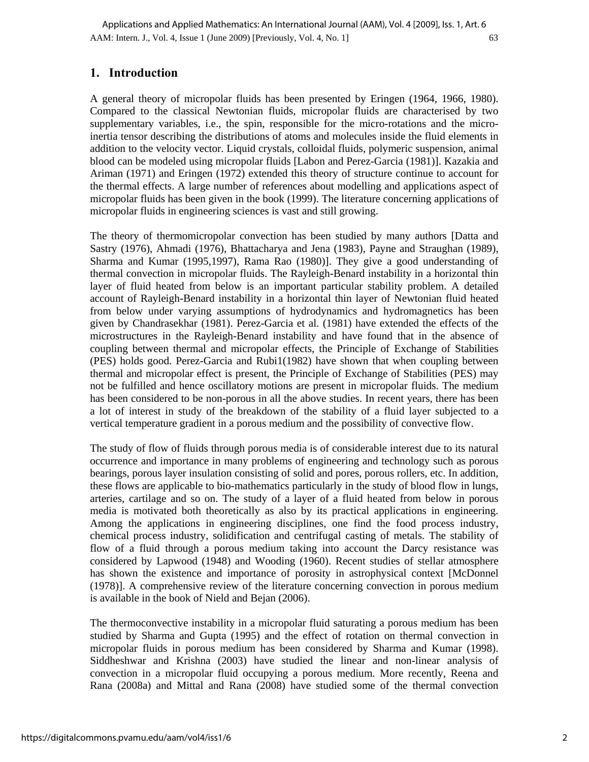AAM: Intern. J., Vol. 4, Issue 1 (June 2009) [Previously, Vol. 4, No. 1] 63 Applications and Applied Mathematics: An International Journal (AAM), Vol. 4 [2009], Iss. 1, Art. 6

## **1. Introduction**

A general theory of micropolar fluids has been presented by Eringen (1964, 1966, 1980). Compared to the classical Newtonian fluids, micropolar fluids are characterised by two supplementary variables, i.e., the spin, responsible for the micro-rotations and the microinertia tensor describing the distributions of atoms and molecules inside the fluid elements in addition to the velocity vector. Liquid crystals, colloidal fluids, polymeric suspension, animal blood can be modeled using micropolar fluids [Labon and Perez-Garcia (1981)]. Kazakia and Ariman (1971) and Eringen (1972) extended this theory of structure continue to account for the thermal effects. A large number of references about modelling and applications aspect of micropolar fluids has been given in the book (1999). The literature concerning applications of micropolar fluids in engineering sciences is vast and still growing.

The theory of thermomicropolar convection has been studied by many authors [Datta and Sastry (1976), Ahmadi (1976), Bhattacharya and Jena (1983), Payne and Straughan (1989), Sharma and Kumar (1995,1997), Rama Rao (1980)]. They give a good understanding of thermal convection in micropolar fluids. The Rayleigh-Benard instability in a horizontal thin layer of fluid heated from below is an important particular stability problem. A detailed account of Rayleigh-Benard instability in a horizontal thin layer of Newtonian fluid heated from below under varying assumptions of hydrodynamics and hydromagnetics has been given by Chandrasekhar (1981). Perez-Garcia et al. (1981) have extended the effects of the microstructures in the Rayleigh-Benard instability and have found that in the absence of coupling between thermal and micropolar effects, the Principle of Exchange of Stabilities (PES) holds good. Perez-Garcia and Rubi1(1982) have shown that when coupling between thermal and micropolar effect is present, the Principle of Exchange of Stabilities (PES) may not be fulfilled and hence oscillatory motions are present in micropolar fluids. The medium has been considered to be non-porous in all the above studies. In recent years, there has been a lot of interest in study of the breakdown of the stability of a fluid layer subjected to a vertical temperature gradient in a porous medium and the possibility of convective flow.

The study of flow of fluids through porous media is of considerable interest due to its natural occurrence and importance in many problems of engineering and technology such as porous bearings, porous layer insulation consisting of solid and pores, porous rollers, etc. In addition, these flows are applicable to bio-mathematics particularly in the study of blood flow in lungs, arteries, cartilage and so on. The study of a layer of a fluid heated from below in porous media is motivated both theoretically as also by its practical applications in engineering. Among the applications in engineering disciplines, one find the food process industry, chemical process industry, solidification and centrifugal casting of metals. The stability of flow of a fluid through a porous medium taking into account the Darcy resistance was considered by Lapwood (1948) and Wooding (1960). Recent studies of stellar atmosphere has shown the existence and importance of porosity in astrophysical context [McDonnel (1978)]. A comprehensive review of the literature concerning convection in porous medium is available in the book of Nield and Bejan (2006).

The thermoconvective instability in a micropolar fluid saturating a porous medium has been studied by Sharma and Gupta (1995) and the effect of rotation on thermal convection in micropolar fluids in porous medium has been considered by Sharma and Kumar (1998). Siddheshwar and Krishna (2003) have studied the linear and non-linear analysis of convection in a micropolar fluid occupying a porous medium. More recently, Reena and Rana (2008a) and Mittal and Rana (2008) have studied some of the thermal convection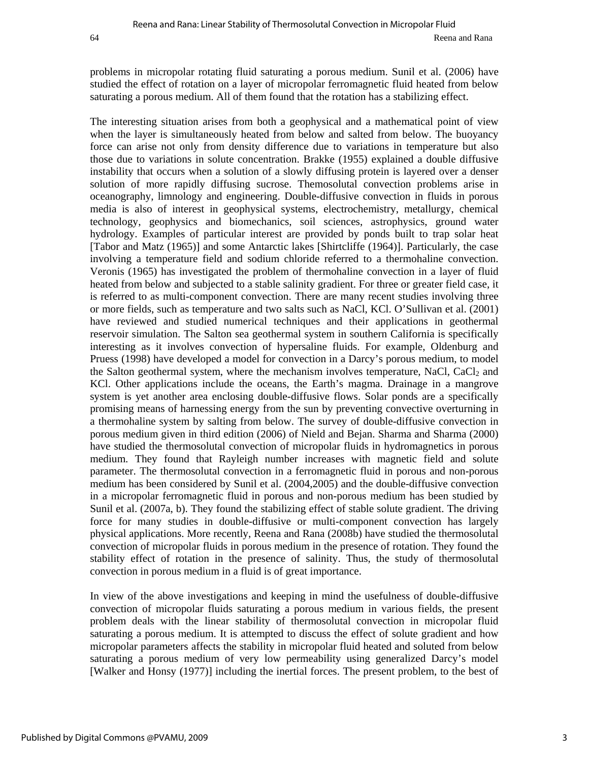problems in micropolar rotating fluid saturating a porous medium. Sunil et al. (2006) have studied the effect of rotation on a layer of micropolar ferromagnetic fluid heated from below saturating a porous medium. All of them found that the rotation has a stabilizing effect.

The interesting situation arises from both a geophysical and a mathematical point of view when the layer is simultaneously heated from below and salted from below. The buoyancy force can arise not only from density difference due to variations in temperature but also those due to variations in solute concentration. Brakke (1955) explained a double diffusive instability that occurs when a solution of a slowly diffusing protein is layered over a denser solution of more rapidly diffusing sucrose. Themosolutal convection problems arise in oceanography, limnology and engineering. Double-diffusive convection in fluids in porous media is also of interest in geophysical systems, electrochemistry, metallurgy, chemical technology, geophysics and biomechanics, soil sciences, astrophysics, ground water hydrology. Examples of particular interest are provided by ponds built to trap solar heat [Tabor and Matz (1965)] and some Antarctic lakes [Shirtcliffe (1964)]. Particularly, the case involving a temperature field and sodium chloride referred to a thermohaline convection. Veronis (1965) has investigated the problem of thermohaline convection in a layer of fluid heated from below and subjected to a stable salinity gradient. For three or greater field case, it is referred to as multi-component convection. There are many recent studies involving three or more fields, such as temperature and two salts such as NaCl, KCl. O'Sullivan et al. (2001) have reviewed and studied numerical techniques and their applications in geothermal reservoir simulation. The Salton sea geothermal system in southern California is specifically interesting as it involves convection of hypersaline fluids. For example, Oldenburg and Pruess (1998) have developed a model for convection in a Darcy's porous medium, to model the Salton geothermal system, where the mechanism involves temperature, NaCl, CaCl<sub>2</sub> and KCl. Other applications include the oceans, the Earth's magma. Drainage in a mangrove system is yet another area enclosing double-diffusive flows. Solar ponds are a specifically promising means of harnessing energy from the sun by preventing convective overturning in a thermohaline system by salting from below. The survey of double-diffusive convection in porous medium given in third edition (2006) of Nield and Bejan. Sharma and Sharma (2000) have studied the thermosolutal convection of micropolar fluids in hydromagnetics in porous medium. They found that Rayleigh number increases with magnetic field and solute parameter. The thermosolutal convection in a ferromagnetic fluid in porous and non-porous medium has been considered by Sunil et al. (2004,2005) and the double-diffusive convection in a micropolar ferromagnetic fluid in porous and non-porous medium has been studied by Sunil et al. (2007a, b). They found the stabilizing effect of stable solute gradient. The driving force for many studies in double-diffusive or multi-component convection has largely physical applications. More recently, Reena and Rana (2008b) have studied the thermosolutal convection of micropolar fluids in porous medium in the presence of rotation. They found the stability effect of rotation in the presence of salinity. Thus, the study of thermosolutal convection in porous medium in a fluid is of great importance.

In view of the above investigations and keeping in mind the usefulness of double-diffusive convection of micropolar fluids saturating a porous medium in various fields, the present problem deals with the linear stability of thermosolutal convection in micropolar fluid saturating a porous medium. It is attempted to discuss the effect of solute gradient and how micropolar parameters affects the stability in micropolar fluid heated and soluted from below saturating a porous medium of very low permeability using generalized Darcy's model [Walker and Honsy (1977)] including the inertial forces. The present problem, to the best of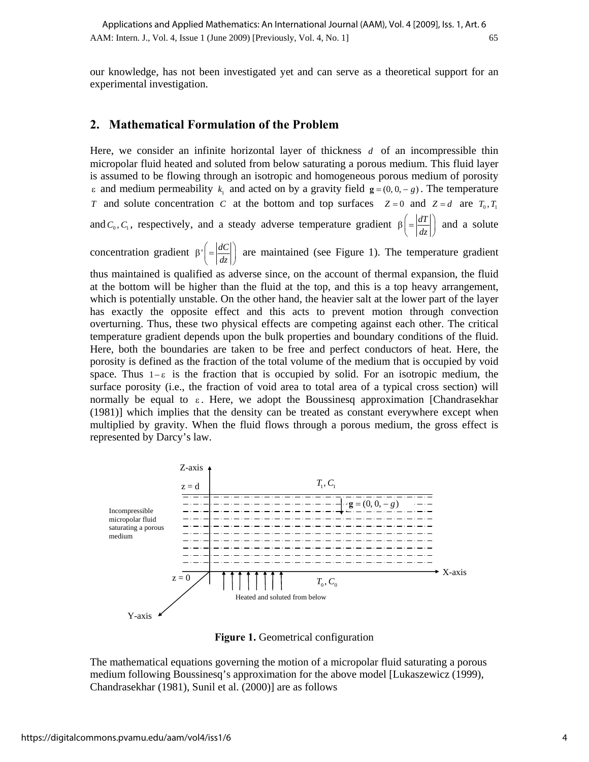our knowledge, has not been investigated yet and can serve as a theoretical support for an experimental investigation.

## **2. Mathematical Formulation of the Problem**

Here, we consider an infinite horizontal layer of thickness *d* of an incompressible thin micropolar fluid heated and soluted from below saturating a porous medium. This fluid layer is assumed to be flowing through an isotropic and homogeneous porous medium of porosity  $\varepsilon$  and medium permeability  $k_1$  and acted on by a gravity field  $g = (0, 0, -g)$ . The temperature *T* and solute concentration *C* at the bottom and top surfaces  $Z=0$  and  $Z=d$  are  $T_0, T_1$ and  $C_0$ ,  $C_1$ , respectively, and a steady adverse temperature gradient  $\beta = \left| \frac{dT}{dz} \right|$  and a solute

concentration gradient  $\beta' = \left| \frac{dC}{dz} \right|$  are maintained (see Figure 1). The temperature gradient

thus maintained is qualified as adverse since, on the account of thermal expansion, the fluid at the bottom will be higher than the fluid at the top, and this is a top heavy arrangement, which is potentially unstable. On the other hand, the heavier salt at the lower part of the layer has exactly the opposite effect and this acts to prevent motion through convection overturning. Thus, these two physical effects are competing against each other. The critical temperature gradient depends upon the bulk properties and boundary conditions of the fluid. Here, both the boundaries are taken to be free and perfect conductors of heat. Here, the porosity is defined as the fraction of the total volume of the medium that is occupied by void space. Thus  $1-\varepsilon$  is the fraction that is occupied by solid. For an isotropic medium, the surface porosity (i.e., the fraction of void area to total area of a typical cross section) will normally be equal to  $\varepsilon$ . Here, we adopt the Boussinesq approximation [Chandrasekhar] (1981)] which implies that the density can be treated as constant everywhere except when multiplied by gravity. When the fluid flows through a porous medium, the gross effect is represented by Darcy's law.



**Figure 1.** Geometrical configuration

The mathematical equations governing the motion of a micropolar fluid saturating a porous medium following Boussinesq's approximation for the above model [Lukaszewicz (1999), Chandrasekhar (1981), Sunil et al. (2000)] are as follows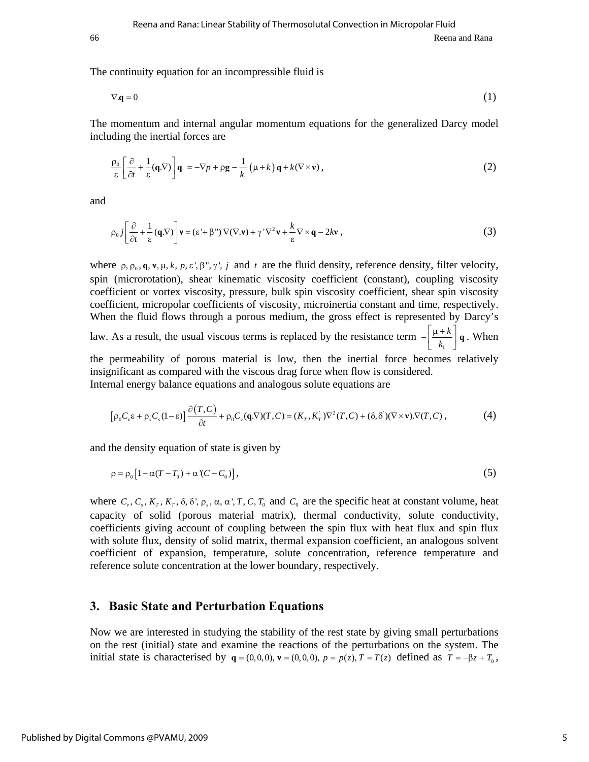66 Reena and Rana

The continuity equation for an incompressible fluid is

$$
\nabla \mathbf{q} = 0 \tag{1}
$$

The momentum and internal angular momentum equations for the generalized Darcy model including the inertial forces are

$$
\frac{\rho_0}{\varepsilon} \left[ \frac{\partial}{\partial t} + \frac{1}{\varepsilon} (\mathbf{q} \cdot \nabla) \right] \mathbf{q} = -\nabla p + \rho \mathbf{g} - \frac{1}{k_1} (\mu + k) \mathbf{q} + k(\nabla \times \mathbf{v}), \tag{2}
$$

and

$$
\rho_0 j \left[ \frac{\partial}{\partial t} + \frac{1}{\varepsilon} (\mathbf{q} \cdot \nabla) \right] \mathbf{v} = (\varepsilon' + \beta'') \nabla (\nabla \cdot \mathbf{v}) + \gamma' \nabla^2 \mathbf{v} + \frac{k}{\varepsilon} \nabla \times \mathbf{q} - 2k \mathbf{v} , \tag{3}
$$

where  $\rho$ ,  $\rho$ <sub>0</sub>,  $\bf{q}$ ,  $\bf{v}$ ,  $\mu$ ,  $k$ ,  $p$ ,  $\epsilon$ ',  $\beta$ ",  $\gamma$ ',  $j$  and  $t$  are the fluid density, reference density, filter velocity, spin (microrotation), shear kinematic viscosity coefficient (constant), coupling viscosity coefficient or vortex viscosity, pressure, bulk spin viscosity coefficient, shear spin viscosity coefficient, micropolar coefficients of viscosity, microinertia constant and time, respectively. When the fluid flows through a porous medium, the gross effect is represented by Darcy's

law. As a result, the usual viscous terms is replaced by the resistance term  $-\left[\frac{\mu+k}{k_1}\right]$  $\left[-\left(\frac{\mu+k}{k_1}\right)\right]$  **q** . When

the permeability of porous material is low, then the inertial force becomes relatively insignificant as compared with the viscous drag force when flow is considered. Internal energy balance equations and analogous solute equations are

$$
\left[\rho_0 C_{\nu} \varepsilon + \rho_s C_s (1 - \varepsilon)\right] \frac{\partial (T, C)}{\partial t} + \rho_0 C_{\nu} (\mathbf{q} \cdot \nabla)(T, C) = (K_T, K_T) \nabla^2 (T, C) + (\delta, \delta)(\nabla \times \mathbf{v}) \cdot \nabla (T, C),\tag{4}
$$

and the density equation of state is given by

$$
\rho = \rho_0 \left[ 1 - \alpha (T - T_0) + \alpha (C - C_0) \right],\tag{5}
$$

where  $C_v$ ,  $C_s$ ,  $K_T$ ,  $K_T$ ,  $\delta$ ,  $\delta'$ ,  $\rho_s$ ,  $\alpha$ ,  $\alpha'$ ,  $T$ ,  $C$ ,  $T_0$  and  $C_0$  are the specific heat at constant volume, heat capacity of solid (porous material matrix), thermal conductivity, solute conductivity, coefficients giving account of coupling between the spin flux with heat flux and spin flux with solute flux, density of solid matrix, thermal expansion coefficient, an analogous solvent coefficient of expansion, temperature, solute concentration, reference temperature and reference solute concentration at the lower boundary, respectively.

#### **3. Basic State and Perturbation Equations**

Now we are interested in studying the stability of the rest state by giving small perturbations on the rest (initial) state and examine the reactions of the perturbations on the system. The initial state is characterised by  $q = (0,0,0)$ ,  $\mathbf{v} = (0,0,0)$ ,  $p = p(z)$ ,  $T = T(z)$  defined as  $T = -\beta z + T_0$ ,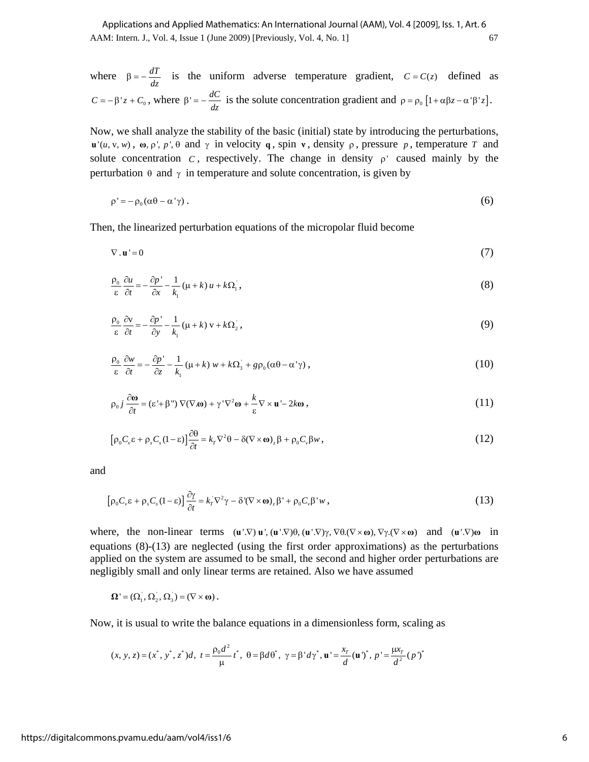AAM: Intern. J., Vol. 4, Issue 1 (June 2009) [Previously, Vol. 4, No. 1] 67 Applications and Applied Mathematics: An International Journal (AAM), Vol. 4 [2009], Iss. 1, Art. 6

where 
$$
\beta = -\frac{dT}{dz}
$$
 is the uniform adverse temperature gradient,  $C = C(z)$  defined as  

$$
C = -\beta'z + C_0
$$
, where  $\beta' = -\frac{dC}{dz}$  is the solute concentration gradient and  $\rho = \rho_0 [1 + \alpha \beta z - \alpha' \beta' z].$ 

Now, we shall analyze the stability of the basic (initial) state by introducing the perturbations,  $\mathbf{u}'(u, v, w)$ ,  $\mathbf{\omega}, \rho', p', \theta$  and  $\gamma$  in velocity **q**, spin **v**, density  $\rho$ , pressure *p*, temperature *T* and solute concentration  $C$ , respectively. The change in density  $\rho'$  caused mainly by the perturbation  $\theta$  and  $\gamma$  in temperature and solute concentration, is given by

$$
\rho' = -\rho_0 (\alpha \theta - \alpha' \gamma) \,. \tag{6}
$$

Then, the linearized perturbation equations of the micropolar fluid become

$$
\nabla \cdot \mathbf{u}^{\mathsf{T}} = 0 \tag{7}
$$

$$
\frac{\rho_0}{\varepsilon} \frac{\partial u}{\partial t} = -\frac{\partial p'}{\partial x} - \frac{1}{k_1} (\mu + k) u + k \Omega_1, \tag{8}
$$

$$
\frac{\rho_0}{\varepsilon} \frac{\partial v}{\partial t} = -\frac{\partial p'}{\partial y} - \frac{1}{k_1} (\mu + k) v + k \Omega_2 , \qquad (9)
$$

$$
\frac{\rho_0}{\varepsilon} \frac{\partial w}{\partial t} = -\frac{\partial p'}{\partial z} - \frac{1}{k_1} (\mu + k) w + k \Omega_3 + g \rho_0 (\alpha \theta - \alpha' \gamma) , \qquad (10)
$$

$$
\rho_0 j \frac{\partial \mathbf{\omega}}{\partial t} = (\varepsilon' + \beta'') \nabla (\nabla \cdot \mathbf{\omega}) + \gamma' \nabla^2 \mathbf{\omega} + \frac{k}{\varepsilon} \nabla \times \mathbf{u}' - 2k \mathbf{\omega} \,, \tag{11}
$$

$$
\left[\rho_0 C_v \varepsilon + \rho_s C_s (1 - \varepsilon)\right] \frac{\partial \theta}{\partial t} = k_\tau \nabla^2 \theta - \delta (\nabla \times \omega)_z \beta + \rho_0 C_v \beta w \,, \tag{12}
$$

and

$$
\left[\rho_0 C_v \varepsilon + \rho_s C_s (1 - \varepsilon)\right] \frac{\partial \gamma}{\partial t} = k_r \nabla^2 \gamma - \delta \left(\nabla \times \mathbf{\omega}\right)_z \beta' + \rho_0 C_v \beta' w \,, \tag{13}
$$

where, the non-linear terms  $(\mathbf{u}', \nabla) \mathbf{u}', (\mathbf{u}', \nabla) \theta, (\mathbf{u}', \nabla) \gamma, \nabla \theta, (\nabla \times \mathbf{\omega}), \nabla \gamma, (\nabla \times \mathbf{\omega})$  and  $(\mathbf{u}', \nabla) \mathbf{\omega}$  in equations (8)-(13) are neglected (using the first order approximations) as the perturbations applied on the system are assumed to be small, the second and higher order perturbations are negligibly small and only linear terms are retained. Also we have assumed

$$
\Omega' = (\Omega_1, \Omega_2, \Omega_3) = (\nabla \times \omega).
$$

Now, it is usual to write the balance equations in a dimensionless form, scaling as

$$
(x, y, z) = (x^*, y^*, z^*)d, \ t = \frac{\rho_0 d^2}{\mu} t^*, \ \theta = \beta d\theta^*, \ \gamma = \beta' d\gamma^*, \ \mathbf{u}' = \frac{x}{d} (\mathbf{u}')^*, \ p' = \frac{\mu x}{d^2} (p')^*
$$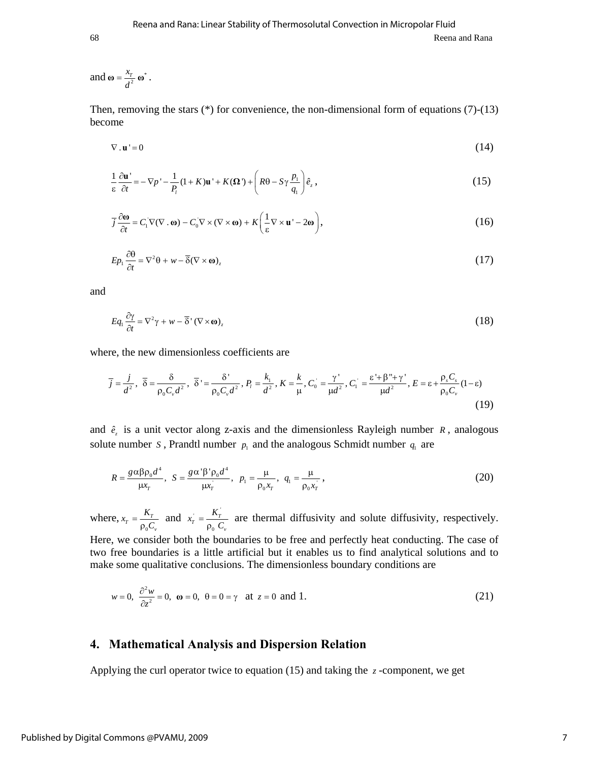#### and  $\omega = \frac{x_r}{d^2} \omega^*$  $\omega = \frac{\lambda_T}{d^2} \omega^*$ .

Then, removing the stars (\*) for convenience, the non-dimensional form of equations (7)-(13) become

$$
\nabla \cdot \mathbf{u}' = 0 \tag{14}
$$

$$
\frac{1}{\varepsilon} \frac{\partial \mathbf{u}'}{\partial t} = -\nabla p' - \frac{1}{P_i} (1 + K) \mathbf{u}' + K(\Omega') + \left( R\theta - S\gamma \frac{p_1}{q_1} \right) \hat{e}_z,
$$
\n(15)

$$
\overline{j}\frac{\partial\omega}{\partial t} = C_1 \nabla(\nabla \cdot \mathbf{\omega}) - C_0 \nabla \times (\nabla \times \mathbf{\omega}) + K \left(\frac{1}{\varepsilon} \nabla \times \mathbf{u}^{\mathsf{T}} - 2\mathbf{\omega}\right),\tag{16}
$$

$$
Ep_1\frac{\partial\theta}{\partial t} = \nabla^2\theta + w - \overline{\delta}(\nabla \times \mathbf{\omega})_z
$$
 (17)

and

$$
Eq_1 \frac{\partial \gamma}{\partial t} = \nabla^2 \gamma + w - \overline{\delta}^{\, \prime} (\nabla \times \mathbf{\omega})_z \tag{18}
$$

where, the new dimensionless coefficients are

$$
\overline{j} = \frac{j}{d^2}, \ \overline{\delta} = \frac{\delta}{\rho_0 C_v d^2}, \ \overline{\delta}^{\prime} = \frac{\delta^{\prime}}{\rho_0 C_v d^2}, P_i = \frac{k_1}{d^2}, K = \frac{k}{\mu}, C_0 = \frac{\gamma^{\prime}}{\mu d^2}, C_1 = \frac{\varepsilon^{\prime} + \beta^{\prime \prime} + \gamma^{\prime}}{\mu d^2}, E = \varepsilon + \frac{\rho_s C_s}{\rho_0 C_v} (1 - \varepsilon) \tag{19}
$$

and  $\hat{e}_z$  is a unit vector along z-axis and the dimensionless Rayleigh number *R*, analogous solute number *S*, Prandtl number  $p_1$  and the analogous Schmidt number  $q_1$  are

$$
R = \frac{g \alpha \beta \rho_0 d^4}{\mu x_r}, \quad S = \frac{g \alpha' \beta' \rho_0 d^4}{\mu x_r}, \quad p_1 = \frac{\mu}{\rho_0 x_r}, \quad q_1 = \frac{\mu}{\rho_0 x_r}, \tag{20}
$$

where, 0  $x_r = \frac{K_r}{\rho_0 C_v}$  and  $x_r = \frac{K_r}{\rho_0 C_v}$ 0  $x_r = \frac{K_r}{\rho_0 C_v}$  are thermal diffusivity and solute diffusivity, respectively.

Here, we consider both the boundaries to be free and perfectly heat conducting. The case of two free boundaries is a little artificial but it enables us to find analytical solutions and to make some qualitative conclusions. The dimensionless boundary conditions are

$$
w = 0, \quad \frac{\partial^2 w}{\partial z^2} = 0, \quad \omega = 0, \quad \theta = 0 = \gamma \quad \text{at } z = 0 \text{ and } 1. \tag{21}
$$

## **4. Mathematical Analysis and Dispersion Relation**

Applying the curl operator twice to equation  $(15)$  and taking the *z* -component, we get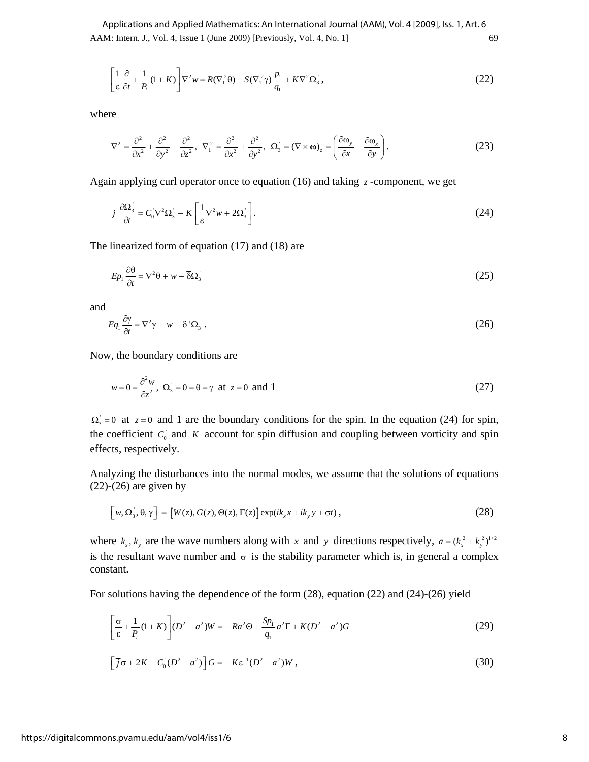AAM: Intern. J., Vol. 4, Issue 1 (June 2009) [Previously, Vol. 4, No. 1] 69 Applications and Applied Mathematics: An International Journal (AAM), Vol. 4 [2009], Iss. 1, Art. 6

$$
\left[\frac{1}{\varepsilon}\frac{\partial}{\partial t} + \frac{1}{P_i}(1+K)\right]\nabla^2 w = R(\nabla_1^2 \theta) - S(\nabla_1^2 \gamma)\frac{p_1}{q_1} + K\nabla^2 \Omega_3,\tag{22}
$$

where

$$
\nabla^2 = \frac{\partial^2}{\partial x^2} + \frac{\partial^2}{\partial y^2} + \frac{\partial^2}{\partial z^2}, \ \nabla_1^2 = \frac{\partial^2}{\partial x^2} + \frac{\partial^2}{\partial y^2}, \ \ \Omega_3 = (\nabla \times \mathbf{\omega})_z = \left(\frac{\partial \omega_y}{\partial x} - \frac{\partial \omega_x}{\partial y}\right). \tag{23}
$$

Again applying curl operator once to equation (16) and taking  $\zeta$ -component, we get

$$
\overline{j}\frac{\partial\Omega_{\scriptscriptstyle{3}}}{\partial t} = C_0 \nabla^2 \Omega_{\scriptscriptstyle{3}} - K \left[ \frac{1}{\varepsilon} \nabla^2 w + 2\Omega_{\scriptscriptstyle{3}} \right]. \tag{24}
$$

The linearized form of equation (17) and (18) are

$$
Ep_1\frac{\partial\theta}{\partial t} = \nabla^2\theta + w - \overline{\delta}\Omega_{\overline{\delta}}\tag{25}
$$

and

$$
Eq_1 \frac{\partial \gamma}{\partial t} = \nabla^2 \gamma + w - \overline{\delta}^{\prime} \Omega_3 \ . \tag{26}
$$

Now, the boundary conditions are

$$
w = 0 = \frac{\partial^2 w}{\partial z^2}, \ \Omega_3 = 0 = \theta = \gamma \ \text{at } z = 0 \ \text{and} \ 1 \tag{27}
$$

 $\Omega_{3} = 0$  at  $z = 0$  and 1 are the boundary conditions for the spin. In the equation (24) for spin, the coefficient  $C_0$  and  $K$  account for spin diffusion and coupling between vorticity and spin effects, respectively.

Analyzing the disturbances into the normal modes, we assume that the solutions of equations  $(22)-(26)$  are given by

$$
\[w,\Omega_{3},\theta,\gamma\] = \left[W(z),G(z),\Theta(z),\Gamma(z)\right]\exp(ik_{x}x+ik_{y}y+\sigma t),\tag{28}
$$

where  $k_x$ ,  $k_y$  are the wave numbers along with x and y directions respectively,  $a = (k_x^2 + k_y^2)^{1/2}$ is the resultant wave number and  $\sigma$  is the stability parameter which is, in general a complex constant.

For solutions having the dependence of the form (28), equation (22) and (24)-(26) yield

$$
\left[\frac{\sigma}{\varepsilon} + \frac{1}{P_1}(1+K)\right](D^2 - a^2)W = -Ra^2\Theta + \frac{Sp_1}{q_1}a^2\Gamma + K(D^2 - a^2)G\tag{29}
$$

$$
\left[\overline{j}\sigma + 2K - C_0(D^2 - a^2)\right]G = -K\varepsilon^{-1}(D^2 - a^2)W\,,\tag{30}
$$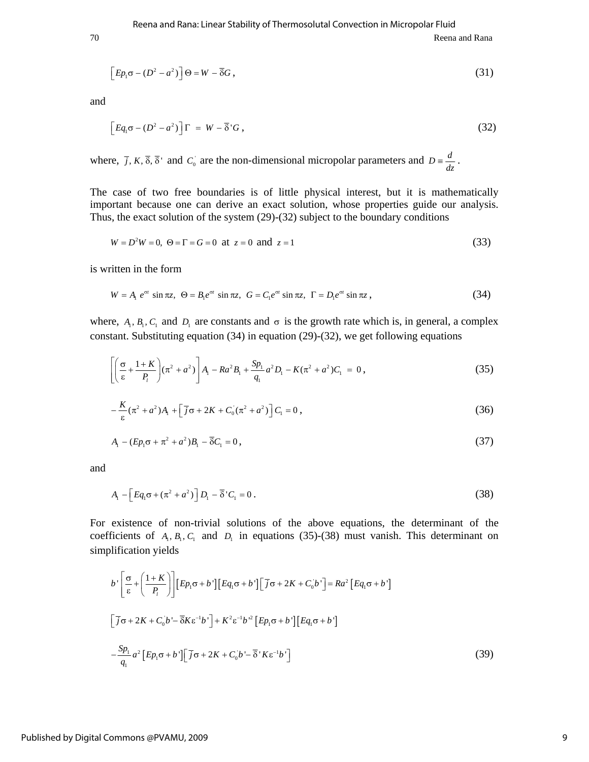70 Reena and Rana

$$
\[E_{p_1\sigma} - (D^2 - a^2)\] \Theta = W - \overline{\delta}G\,,\tag{31}
$$

and

$$
\[Eq_{1}\sigma - (D^{2} - a^{2})\] \Gamma = W - \overline{\delta}^{T}G\,,\tag{32}
$$

where,  $\overline{j}$ ,  $K$ ,  $\overline{\delta}$ ,  $\overline{\delta}$  and  $C_0$  are the non-dimensional micropolar parameters and  $D = \frac{d}{dz}$ .

The case of two free boundaries is of little physical interest, but it is mathematically important because one can derive an exact solution, whose properties guide our analysis. Thus, the exact solution of the system (29)-(32) subject to the boundary conditions

$$
W = D2W = 0, \ \Theta = \Gamma = G = 0 \ \text{at} \ z = 0 \ \text{and} \ z = 1 \tag{33}
$$

is written in the form

$$
W = A_1 e^{\sigma t} \sin \pi z, \quad \Theta = B_1 e^{\sigma t} \sin \pi z, \quad G = C_1 e^{\sigma t} \sin \pi z, \quad \Gamma = D_1 e^{\sigma t} \sin \pi z,
$$
\n
$$
(34)
$$

where,  $A_1, B_1, C_1$  and  $D_1$  are constants and  $\sigma$  is the growth rate which is, in general, a complex constant. Substituting equation (34) in equation (29)-(32), we get following equations

$$
\left[ \left( \frac{\sigma}{\epsilon} + \frac{1+K}{P_i} \right) (\pi^2 + a^2) \right] A_i - Ra^2 B_i + \frac{Sp_i}{q_i} a^2 D_i - K (\pi^2 + a^2) C_i = 0,
$$
\n(35)

$$
-\frac{K}{\varepsilon}(\pi^2 + a^2)A_1 + \left[\overline{j}\sigma + 2K + C_0(\pi^2 + a^2)\right]C_1 = 0,
$$
\n(36)

$$
A_1 - (Ep_1\sigma + \pi^2 + a^2)B_1 - \overline{\delta}C_1 = 0,
$$
\n(37)

and

$$
A_{1} - \left[Eq_{1}\sigma + (\pi^{2} + a^{2})\right]D_{1} - \overline{\delta}^{'}C_{1} = 0.
$$
\n(38)

For existence of non-trivial solutions of the above equations, the determinant of the coefficients of  $A_1, B_1, C_1$  and  $D_1$  in equations (35)-(38) must vanish. This determinant on simplification yields

$$
b \left[ \frac{\sigma}{\varepsilon} + \left( \frac{1+K}{P_i} \right) \right] \left[ Ep_1 \sigma + b' \right] \left[ Eq_1 \sigma + b' \right] \left[ \overline{j} \sigma + 2K + C_0 b' \right] = Ra^2 \left[ Eq_1 \sigma + b' \right]
$$
  

$$
\left[ \overline{j} \sigma + 2K + C_0 b' - \overline{\delta} K \varepsilon^{-1} b' \right] + K^2 \varepsilon^{-1} b'^2 \left[ Ep_1 \sigma + b' \right] \left[ Eq_1 \sigma + b' \right]
$$
  

$$
-\frac{Sp_1}{q_1} a^2 \left[ Ep_1 \sigma + b' \right] \left[ \overline{j} \sigma + 2K + C_0 b' - \overline{\delta}' K \varepsilon^{-1} b' \right]
$$
 (39)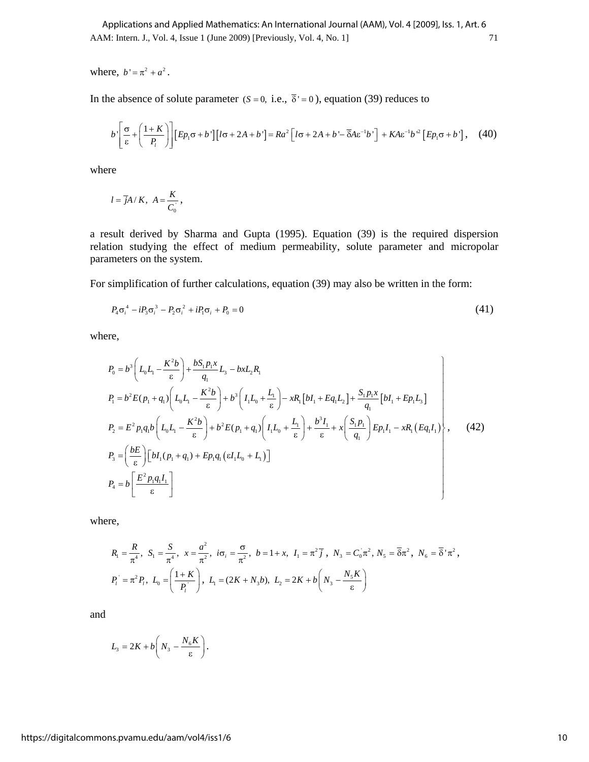AAM: Intern. J., Vol. 4, Issue 1 (June 2009) [Previously, Vol. 4, No. 1] 71 Applications and Applied Mathematics: An International Journal (AAM), Vol. 4 [2009], Iss. 1, Art. 6

where,  $b' = \pi^2 + a^2$ .

In the absence of solute parameter ( $S = 0$ , i.e.,  $\overline{\delta}$ ' = 0), equation (39) reduces to

$$
b\left[\frac{\sigma}{\varepsilon} + \left(\frac{1+K}{P_1}\right)\right] \left[Ep_1\sigma + b'\right] \left[l\sigma + 2A + b'\right] = Ra^2 \left[l\sigma + 2A + b' - \overline{\delta}A\varepsilon^{-1}b'\right] + KA\varepsilon^{-1}b'^2 \left[Ep_1\sigma + b'\right], \quad (40)
$$

where

$$
l = \overline{j}A/K, A = \frac{K}{C_0},
$$

a result derived by Sharma and Gupta (1995). Equation (39) is the required dispersion relation studying the effect of medium permeability, solute parameter and micropolar parameters on the system.

For simplification of further calculations, equation (39) may also be written in the form:

$$
P_4 \sigma_i^4 - i P_3 \sigma_i^3 - P_2 \sigma_i^2 + i P_1 \sigma_i + P_0 = 0 \tag{41}
$$

where,

$$
P_0 = b^3 \left( L_0 L_1 - \frac{K^2 b}{\epsilon} \right) + \frac{b S_1 p_1 x}{q_1} L_3 - b x L_2 R_1
$$
  
\n
$$
P_1 = b^2 E(p_1 + q_1) \left( L_0 L_1 - \frac{K^2 b}{\epsilon} \right) + b^3 \left( I_1 L_0 + \frac{L_1}{\epsilon} \right) - x R_1 [b I_1 + E q_1 L_2] + \frac{S_1 p_1 x}{q_1} [b I_1 + E p_1 L_3]
$$
  
\n
$$
P_2 = E^2 p_1 q_1 b \left( L_0 L_1 - \frac{K^2 b}{\epsilon} \right) + b^2 E(p_1 + q_1) \left( I_1 L_0 + \frac{L_1}{\epsilon} \right) + \frac{b^3 I_1}{\epsilon} + x \left( \frac{S_1 p_1}{q_1} \right) E p_1 I_1 - x R_1 (E q_1 I_1)
$$
  
\n
$$
P_3 = \left( \frac{b E}{\epsilon} \right) \left[ b I_1 (p_1 + q_1) + E p_1 q_1 (\epsilon I_1 L_0 + L_1) \right]
$$
  
\n
$$
P_4 = b \left[ \frac{E^2 p_1 q_1 I_1}{\epsilon} \right]
$$
 (42)

where,

$$
R_1 = \frac{R}{\pi^4}, \ S_1 = \frac{S}{\pi^4}, \ x = \frac{a^2}{\pi^2}, \ i\sigma_i = \frac{\sigma}{\pi^2}, \ b = 1 + x, \ I_1 = \pi^2 \bar{J}, \ N_3 = C_0 \pi^2, \ N_5 = \bar{S}\pi^2, \ N_6 = \bar{S}'\pi^2,
$$
  

$$
P_i = \pi^2 P_i, \ I_0 = \left(\frac{1+K}{P_i}\right), \ I_1 = (2K + N_3b), \ I_2 = 2K + b\left(N_3 - \frac{N_5K}{\epsilon}\right)
$$

and

$$
L_{3}=2K+b\left(N_{3}-\frac{N_{6}K}{\epsilon}\right).
$$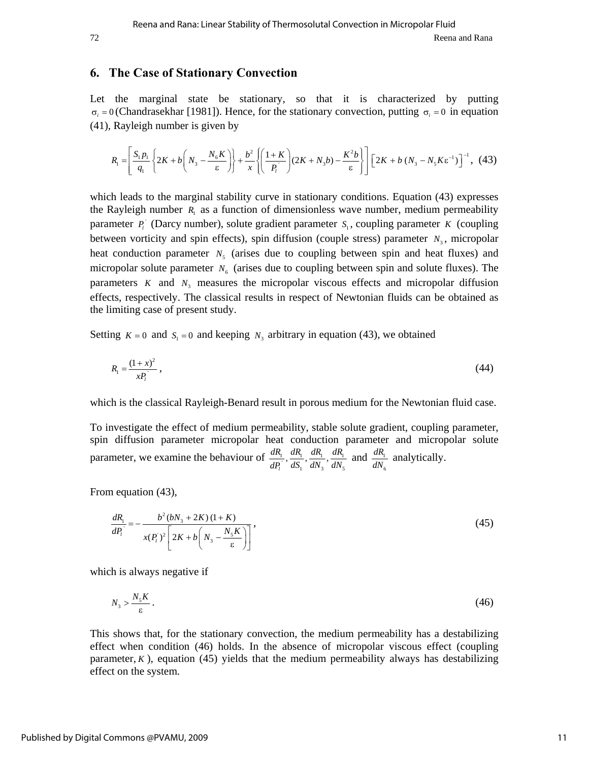# **6. The Case of Stationary Convection**

Let the marginal state be stationary, so that it is characterized by putting  $\sigma_i = 0$  (Chandrasekhar [1981]). Hence, for the stationary convection, putting  $\sigma_i = 0$  in equation (41), Rayleigh number is given by

$$
R_{\rm I} = \left[\frac{S_{\rm I}p_{\rm I}}{q_{\rm I}}\left\{2K + b\left(N_{\rm 3} - \frac{N_{\rm 6}K}{\epsilon}\right)\right\} + \frac{b^2}{x}\left\{\left(\frac{1+K}{p_{\rm I}}\right)(2K + N_{\rm 3}b) - \frac{K^2b}{\epsilon}\right\}\right]\left[2K + b\left(N_{\rm 3} - N_{\rm 5}K\epsilon^{-1}\right)\right]^{-1},\tag{43}
$$

which leads to the marginal stability curve in stationary conditions. Equation (43) expresses the Rayleigh number  $R_1$  as a function of dimensionless wave number, medium permeability parameter  $P_i$ <sup>'</sup> (Darcy number), solute gradient parameter  $S_i$ , coupling parameter *K* (coupling between vorticity and spin effects), spin diffusion (couple stress) parameter  $N<sub>3</sub>$ , micropolar heat conduction parameter  $N<sub>5</sub>$  (arises due to coupling between spin and heat fluxes) and micropolar solute parameter  $N<sub>6</sub>$  (arises due to coupling between spin and solute fluxes). The parameters *K* and  $N<sub>3</sub>$  measures the micropolar viscous effects and micropolar diffusion effects, respectively. The classical results in respect of Newtonian fluids can be obtained as the limiting case of present study.

Setting  $K = 0$  and  $S_1 = 0$  and keeping  $N_3$  arbitrary in equation (43), we obtained

$$
R_1 = \frac{(1+x)^2}{xP_l},\tag{44}
$$

which is the classical Rayleigh-Benard result in porous medium for the Newtonian fluid case.

To investigate the effect of medium permeability, stable solute gradient, coupling parameter, spin diffusion parameter micropolar heat conduction parameter and micropolar solute parameter, we examine the behaviour of  $\frac{dN_1}{dP_1}$ ,  $\frac{dN_1}{dS_1}$ ,  $\frac{dN_1}{dN_3}$ ,  $\frac{dN_1}{dN_5}$  $,\frac{an_1}{12},\frac{an_1}{12},$ *l dR dR dR dR*  $\frac{dN_1}{dP_1}$ ,  $\frac{dN_1}{dS_1}$ ,  $\frac{dN_1}{dN_3}$ ,  $\frac{dN_1}{dN_5}$  and  $\frac{dN_1}{dN_6}$ 6  $\frac{dR_1}{dN_6}$  analytically.

From equation (43),

$$
\frac{dR_1}{dP_i} = -\frac{b^2(bN_3 + 2K)(1+K)}{x(P_i)^2 \left[2K + b\left(N_3 - \frac{N_5K}{\epsilon}\right)\right]},
$$
\n(45)

which is always negative if

$$
N_3 > \frac{N_s K}{\varepsilon} \,. \tag{46}
$$

This shows that, for the stationary convection, the medium permeability has a destabilizing effect when condition (46) holds. In the absence of micropolar viscous effect (coupling parameter,  $K$ ), equation (45) yields that the medium permeability always has destabilizing effect on the system.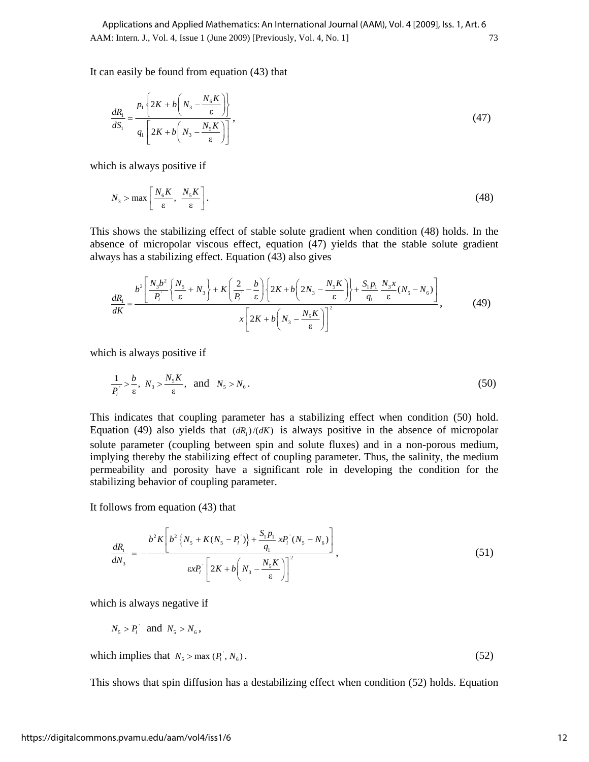It can easily be found from equation (43) that

$$
\frac{dR_1}{dS_1} = \frac{p_1 \left\{ 2K + b \left( N_3 - \frac{N_6 K}{\epsilon} \right) \right\}}{q_1 \left[ 2K + b \left( N_3 - \frac{N_5 K}{\epsilon} \right) \right]},
$$
\n(47)

which is always positive if

$$
N_3 > \max\left[\frac{N_6 K}{\varepsilon}, \frac{N_5 K}{\varepsilon}\right].
$$
 (48)

This shows the stabilizing effect of stable solute gradient when condition (48) holds. In the absence of micropolar viscous effect, equation (47) yields that the stable solute gradient always has a stabilizing effect. Equation (43) also gives

$$
\frac{dR_{\rm i}}{dK} = \frac{b^2 \left[ \frac{N_3 b^2}{P_{\rm i}} \left\{ \frac{N_5}{\epsilon} + N_3 \right\} + K \left( \frac{2}{P_{\rm i}} - \frac{b}{\epsilon} \right) \left\{ 2K + b \left( 2N_3 - \frac{N_5 K}{\epsilon} \right) \right\} + \frac{S_{\rm i} p_{\rm i}}{q_{\rm i}} \frac{N_3 x}{\epsilon} (N_5 - N_6) \right]}{x \left[ 2K + b \left( N_3 - \frac{N_5 K}{\epsilon} \right) \right]^2},\tag{49}
$$

which is always positive if

$$
\frac{1}{P_i} > \frac{b}{\varepsilon}, \ N_3 > \frac{N_s K}{\varepsilon}, \ \text{and} \ N_s > N_6. \tag{50}
$$

This indicates that coupling parameter has a stabilizing effect when condition (50) hold. Equation (49) also yields that  $(dR_1) / (dK)$  is always positive in the absence of micropolar solute parameter (coupling between spin and solute fluxes) and in a non-porous medium, implying thereby the stabilizing effect of coupling parameter. Thus, the salinity, the medium permeability and porosity have a significant role in developing the condition for the stabilizing behavior of coupling parameter.

It follows from equation (43) that

$$
\frac{dR_1}{dN_3} = -\frac{b^2 K \left[b^2 \left\{N_s + K(N_s - P_1)\right\} + \frac{S_1 P_1}{q_1} x P_1 (N_s - N_6)\right]}{\epsilon x P_1 \left[2K + b \left(N_s - \frac{N_s K}{\epsilon}\right)\right]^2},\tag{51}
$$

which is always negative if

$$
N_5 > P_i \quad \text{and} \quad N_5 > N_6,
$$

which implies that  $N_s > \max (P_i^+, N_s)$ . (52)

This shows that spin diffusion has a destabilizing effect when condition (52) holds. Equation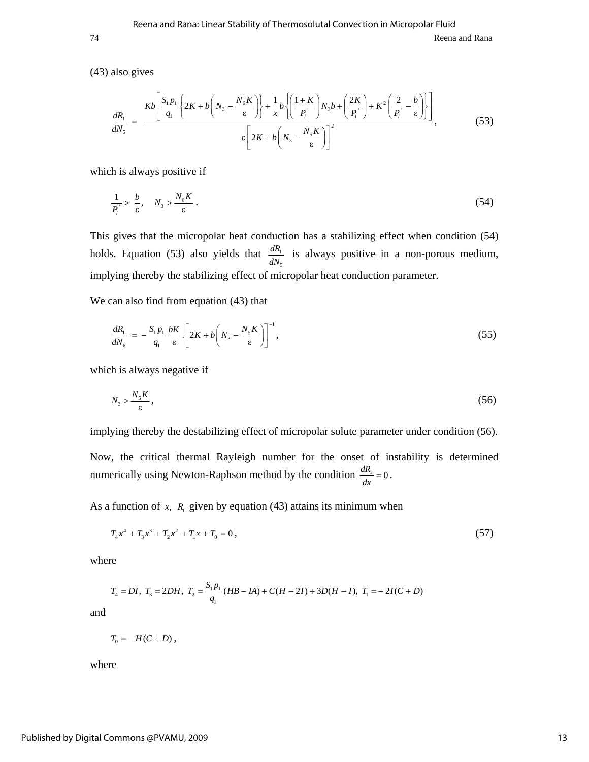(43) also gives

$$
\frac{dR_1}{dN_5} = \frac{Kb\left[\frac{S_1p_1}{q_1}\left\{2K + b\left(N_3 - \frac{N_6K}{\epsilon}\right)\right\} + \frac{1}{x}b\left\{\left(\frac{1+K}{p_i}\right)N_3b + \left(\frac{2K}{p_i}\right) + K^2\left(\frac{2}{p_i} - \frac{b}{\epsilon}\right)\right\}\right]}{\epsilon\left[2K + b\left(N_3 - \frac{N_5K}{\epsilon}\right)\right]^2},\tag{53}
$$

which is always positive if

$$
\frac{1}{P_i} > \frac{b}{\varepsilon}, \quad N_3 > \frac{N_6 K}{\varepsilon} \,. \tag{54}
$$

This gives that the micropolar heat conduction has a stabilizing effect when condition (54) holds. Equation (53) also yields that  $\frac{dN_1}{N_2}$ 5  $\frac{dR_1}{dN_5}$  is always positive in a non-porous medium, implying thereby the stabilizing effect of micropolar heat conduction parameter.

We can also find from equation (43) that

$$
\frac{dR_1}{dN_6} = -\frac{S_1 p_1}{q_1} \frac{bK}{\varepsilon} \left[ 2K + b \left( N_3 - \frac{N_5 K}{\varepsilon} \right) \right]^{-1},\tag{55}
$$

which is always negative if

$$
N_3 > \frac{N_5 K}{\varepsilon},\tag{56}
$$

implying thereby the destabilizing effect of micropolar solute parameter under condition (56).

Now, the critical thermal Rayleigh number for the onset of instability is determined numerically using Newton-Raphson method by the condition  $\frac{dR_1}{dx} = 0$ .

As a function of  $x$ ,  $R_1$  given by equation (43) attains its minimum when

$$
T_4x^4 + T_3x^3 + T_2x^2 + T_1x + T_0 = 0,
$$
\n<sup>(57)</sup>

where

$$
T_4 = DI, T_3 = 2DH, T_2 = \frac{S_1 p_1}{q_1} (HB - IA) + C(H - 2I) + 3D(H - I), T_1 = -2I(C + D)
$$

and

$$
T_0 = -H(C+D)\,
$$

where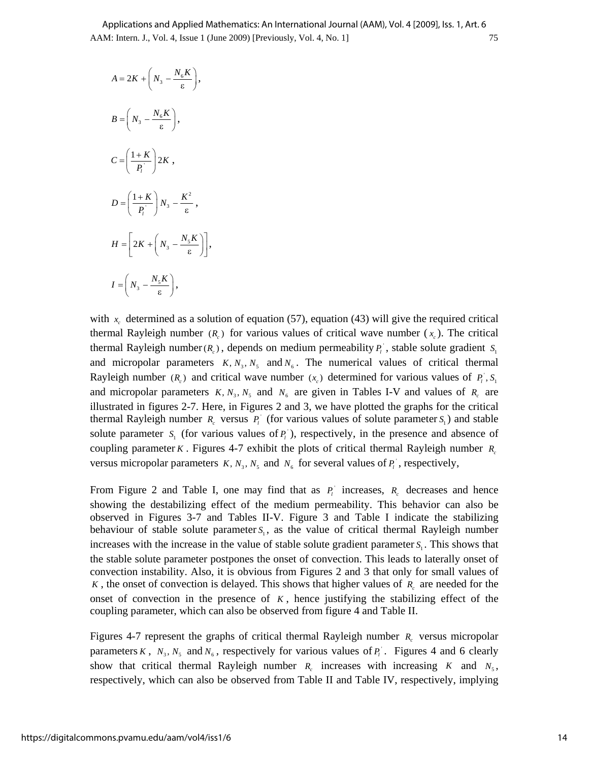$$
A = 2K + \left(N_3 - \frac{N_6 K}{\epsilon}\right),
$$
  
\n
$$
B = \left(N_3 - \frac{N_6 K}{\epsilon}\right),
$$
  
\n
$$
C = \left(\frac{1+K}{P_i}\right) 2K,
$$
  
\n
$$
D = \left(\frac{1+K}{P_i}\right) N_3 - \frac{K^2}{\epsilon},
$$
  
\n
$$
H = \left[2K + \left(N_3 - \frac{N_5 K}{\epsilon}\right)\right],
$$
  
\n
$$
I = \left(N_3 - \frac{N_5 K}{\epsilon}\right),
$$

with  $x<sub>c</sub>$  determined as a solution of equation (57), equation (43) will give the required critical thermal Rayleigh number  $(R_c)$  for various values of critical wave number  $(x_c)$ . The critical thermal Rayleigh number( $R_c$ ), depends on medium permeability  $P_i$ , stable solute gradient  $S_i$ and micropolar parameters  $K, N_3, N_5$  and  $N_6$ . The numerical values of critical thermal Rayleigh number  $(R_c)$  and critical wave number  $(x_c)$  determined for various values of  $P_i$ ,  $S_i$ and micropolar parameters  $K, N_3, N_5$  and  $N_6$  are given in Tables I-V and values of  $R_c$  are illustrated in figures 2-7. Here, in Figures 2 and 3, we have plotted the graphs for the critical thermal Rayleigh number  $R_c$  versus  $P_l$ <sup>'</sup> (for various values of solute parameter  $S_l$ ) and stable solute parameter  $S_i$  (for various values of  $P_i$ ), respectively, in the presence and absence of coupling parameter *K*. Figures 4-7 exhibit the plots of critical thermal Rayleigh number  $R_c$ versus micropolar parameters  $K, N_3, N_5$  and  $N_6$  for several values of  $P_i$ , respectively,

From Figure 2 and Table I, one may find that as  $P_i$  increases,  $R_c$  decreases and hence showing the destabilizing effect of the medium permeability. This behavior can also be observed in Figures 3-7 and Tables II-V. Figure 3 and Table I indicate the stabilizing behaviour of stable solute parameter  $S<sub>i</sub>$ , as the value of critical thermal Rayleigh number increases with the increase in the value of stable solute gradient parameter  $S<sub>i</sub>$ . This shows that the stable solute parameter postpones the onset of convection. This leads to laterally onset of convection instability. Also, it is obvious from Figures 2 and 3 that only for small values of *K*, the onset of convection is delayed. This shows that higher values of *R<sub>c</sub>* are needed for the onset of convection in the presence of  $K$ , hence justifying the stabilizing effect of the coupling parameter, which can also be observed from figure 4 and Table II.

Figures 4-7 represent the graphs of critical thermal Rayleigh number  $R_c$  versus micropolar parameters *K*,  $N_3$ ,  $N_5$  and  $N_6$ , respectively for various values of  $P_i$ . Figures 4 and 6 clearly show that critical thermal Rayleigh number  $R_c$  increases with increasing  $K$  and  $N_5$ , respectively, which can also be observed from Table II and Table IV, respectively, implying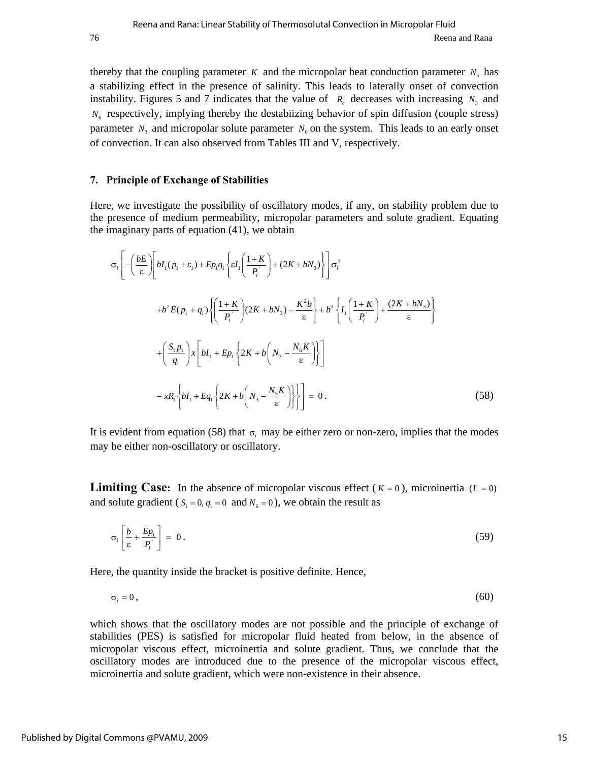thereby that the coupling parameter *K* and the micropolar heat conduction parameter  $N_5$  has a stabilizing effect in the presence of salinity. This leads to laterally onset of convection instability. Figures 5 and 7 indicates that the value of  $R_c$  decreases with increasing  $N_3$  and  $N<sub>6</sub>$  respectively, implying thereby the destabiizing behavior of spin diffusion (couple stress) parameter  $N_3$  and micropolar solute parameter  $N_6$  on the system. This leads to an early onset of convection. It can also observed from Tables III and V, respectively.

#### **7. Principle of Exchange of Stabilities**

Here, we investigate the possibility of oscillatory modes, if any, on stability problem due to the presence of medium permeability, micropolar parameters and solute gradient. Equating the imaginary parts of equation (41), we obtain

$$
\sigma_{i}\left[-\left(\frac{bE}{\varepsilon}\right)\left[bI_{1}(p_{1}+\varepsilon_{1})+Ep_{1}q_{1}\left\{\varepsilon I_{1}\left(\frac{1+K}{P_{i}}\right)+(2K+bN_{3})\right\}\right]\sigma_{i}^{2}\right]
$$

$$
+b^{2}E(p_{1}+q_{1})\left\{\left(\frac{1+K}{P_{i}}\right)(2K+bN_{3})-\frac{K^{2}b}{\varepsilon}\right\}+b^{3}\left\{I_{1}\left(\frac{1+K}{P_{i}}\right)+\frac{(2K+bN_{3})}{\varepsilon}\right\}
$$

$$
+\left(\frac{S_{1}p_{1}}{q_{1}}\right)x\left[bI_{1}+Ep_{1}\left\{2K+b\left(N_{3}-\frac{N_{6}K}{\varepsilon}\right)\right\}\right]
$$

$$
-xR_{1}\left\{bI_{1}+Eq_{1}\left\{2K+b\left(N_{3}-\frac{N_{5}K}{\varepsilon}\right)\right\}\right\}\right]=0.
$$
(58)

It is evident from equation (58) that  $\sigma_i$  may be either zero or non-zero, implies that the modes may be either non-oscillatory or oscillatory.

**Limiting Case:** In the absence of micropolar viscous effect ( $K = 0$ ), microinertia ( $I_1 = 0$ ) and solute gradient ( $S_1 = 0$ ,  $q_1 = 0$  and  $N_6 = 0$ ), we obtain the result as

$$
\sigma_i \left[ \frac{b}{\varepsilon} + \frac{Ep_i}{P_i} \right] = 0 \,. \tag{59}
$$

Here, the quantity inside the bracket is positive definite. Hence,

$$
\sigma_i = 0, \tag{60}
$$

which shows that the oscillatory modes are not possible and the principle of exchange of stabilities (PES) is satisfied for micropolar fluid heated from below, in the absence of micropolar viscous effect, microinertia and solute gradient. Thus, we conclude that the oscillatory modes are introduced due to the presence of the micropolar viscous effect, microinertia and solute gradient, which were non-existence in their absence.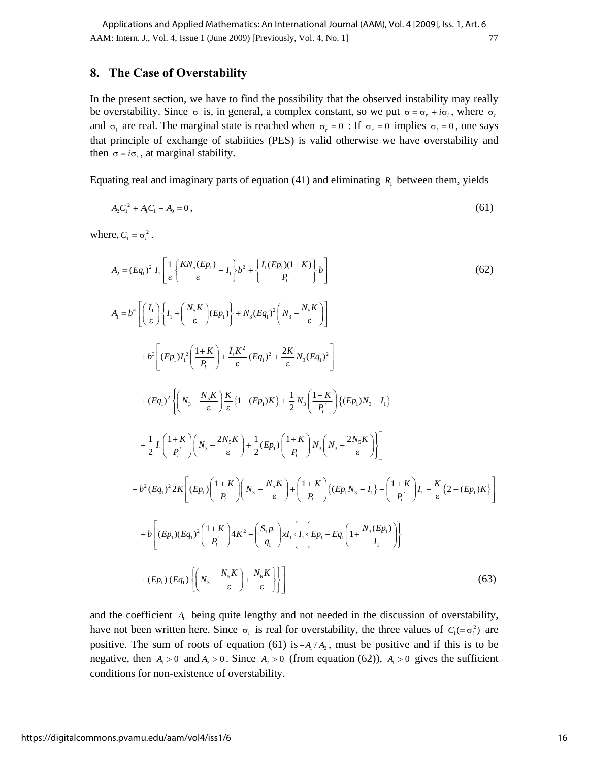### **8. The Case of Overstability**

In the present section, we have to find the possibility that the observed instability may really be overstability. Since  $\sigma$  is, in general, a complex constant, so we put  $\sigma = \sigma_r + i\sigma_i$ , where  $\sigma_r$ and  $\sigma_i$  are real. The marginal state is reached when  $\sigma_r = 0$ : If  $\sigma_r = 0$  implies  $\sigma_i = 0$ , one says that principle of exchange of stabiities (PES) is valid otherwise we have overstability and then  $\sigma = i\sigma_i$ , at marginal stability.

Equating real and imaginary parts of equation (41) and eliminating  $R_1$  between them, yields

$$
A_2 C_1^2 + A_1 C_1 + A_0 = 0, \tag{61}
$$

where,  $C_1 = \sigma_i^2$ .

$$
A_{2} = (Eq_{1})^{2} I_{1} \left[ \frac{1}{\varepsilon} \left\{ \frac{KN_{s}(Ep_{1})}{\varepsilon} + I_{1} \right\} b^{2} + \left\{ \frac{I_{1}(Ep_{1})(1+K)}{P_{1}} \right\} b \right]
$$
\n
$$
A_{1} = b^{4} \left[ \left( \frac{I_{1}}{\varepsilon} \right) \left\{ I_{1} + \left( \frac{N_{s}K}{\varepsilon} \right) (Ep_{1}) \right\} + N_{3} (Eq_{1})^{2} \left( N_{3} - \frac{N_{s}K}{\varepsilon} \right) \right]
$$
\n
$$
+ b^{3} \left[ (Ep_{1}) I_{1}^{2} \left( \frac{1+K}{P_{1}} \right) + \frac{I_{1}K^{2}}{\varepsilon} (Eq_{1})^{2} + \frac{2K}{\varepsilon} N_{3} (Eq_{1})^{2} \right]
$$
\n
$$
+ (Eq_{1})^{2} \left\{ \left( N_{3} - \frac{N_{s}K}{\varepsilon} \right) \frac{K}{\varepsilon} \left\{ 1 - (Ep_{1})K \right\} + \frac{1}{2} N_{3} \left( \frac{1+K}{P_{1}} \right) \left\{ (Ep_{1}) N_{3} - I_{1} \right\}
$$
\n
$$
+ \frac{1}{2} I_{1} \left( \frac{1+K}{P_{1}} \right) \left( N_{3} - \frac{2N_{s}K}{\varepsilon} \right) + \frac{1}{2} (Ep_{1}) \left( \frac{1+K}{P_{1}} \right) N_{3} \left( N_{3} - \frac{2N_{s}K}{\varepsilon} \right) \right\}
$$
\n
$$
+ b^{2} (Eq_{1})^{2} 2K \left[ (Ep_{1}) \left( \frac{1+K}{P_{1}} \right) \left( N_{3} - \frac{N_{s}K}{\varepsilon} \right) + \left( \frac{1+K}{P_{1}} \right) \left\{ (Ep_{1}N_{3} - I_{1}) + \left( \frac{1+K}{P_{1}} \right) I_{1} + \frac{K}{\varepsilon} \left\{ 2 - (Ep_{1})K \right\} \right\}
$$
\n
$$
+ b \left[ (Ep_{1})(Eq_{1})^{2} \left
$$

and the coefficient  $A_0$  being quite lengthy and not needed in the discussion of overstability, have not been written here. Since  $\sigma_i$  is real for overstability, the three values of  $C_1 = \sigma_i^2$  are positive. The sum of roots of equation (61) is  $-A_1/A_2$ , must be positive and if this is to be negative, then  $A_1 > 0$  and  $A_2 > 0$ . Since  $A_2 > 0$  (from equation (62)),  $A_1 > 0$  gives the sufficient conditions for non-existence of overstability.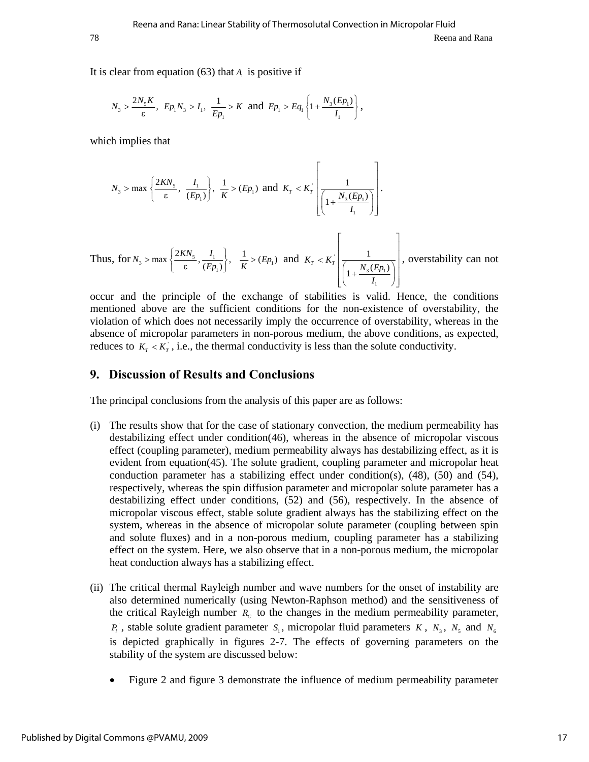78 Reena and Rana

It is clear from equation  $(63)$  that  $A<sub>1</sub>$  is positive if

$$
N_3 > \frac{2N_5K}{\epsilon}
$$
,  $Ep_1N_3 > I_1$ ,  $\frac{1}{Ep_1} > K$  and  $Ep_1 > Eq_1 \left\{1 + \frac{N_3(Ep_1)}{I_1}\right\}$ ,

which implies that

$$
N_3 > \max\left\{\frac{2KN_5}{\epsilon}, \frac{I_1}{(Ep_1)}\right\}, \frac{1}{K} > (Ep_1) \text{ and } K_T < K_T \left[\frac{1}{\left(1 + \frac{N_3(Ep_1)}{I_1}\right)}\right].
$$

Thus, for  $N_3 > \max\left\{\frac{2K N s}{\epsilon}, \frac{I_1}{(E p_1)\epsilon}\right\}$  $N_3 > \max \left\{ \frac{2KN_5}{\epsilon}, \frac{I_1}{(Ep_1)} \right\},$  $>$  max  $\left\{\frac{2KN_s}{\epsilon}, \frac{I_1}{(Ep_1)}\right\}, \frac{1}{K} > (Ep_1)$  and  $K_T < K_T$  $3($   $P_1$ 1 1  $K_T < K_T \sqrt{\frac{1}{1 + \frac{N_3(Ep_1)}{N_1}}}$  $\lt K_r$   $\left(\frac{1}{\left(1+\frac{N_3(Ep_1)}{I_1}\right)}\right)$ , overstability can not

occur and the principle of the exchange of stabilities is valid. Hence, the conditions mentioned above are the sufficient conditions for the non-existence of overstability, the violation of which does not necessarily imply the occurrence of overstability, whereas in the absence of micropolar parameters in non-porous medium, the above conditions, as expected, reduces to  $K_T < K_T$ , i.e., the thermal conductivity is less than the solute conductivity.

## **9. Discussion of Results and Conclusions**

The principal conclusions from the analysis of this paper are as follows:

- (i) The results show that for the case of stationary convection, the medium permeability has destabilizing effect under condition(46), whereas in the absence of micropolar viscous effect (coupling parameter), medium permeability always has destabilizing effect, as it is evident from equation(45). The solute gradient, coupling parameter and micropolar heat conduction parameter has a stabilizing effect under condition(s), (48), (50) and (54), respectively, whereas the spin diffusion parameter and micropolar solute parameter has a destabilizing effect under conditions, (52) and (56), respectively. In the absence of micropolar viscous effect, stable solute gradient always has the stabilizing effect on the system, whereas in the absence of micropolar solute parameter (coupling between spin and solute fluxes) and in a non-porous medium, coupling parameter has a stabilizing effect on the system. Here, we also observe that in a non-porous medium, the micropolar heat conduction always has a stabilizing effect.
- (ii) The critical thermal Rayleigh number and wave numbers for the onset of instability are also determined numerically (using Newton-Raphson method) and the sensitiveness of the critical Rayleigh number  $R_c$  to the changes in the medium permeability parameter,  $P_i$ <sup>*,*</sup> , stable solute gradient parameter  $S_i$ , micropolar fluid parameters *K*,  $N_3$ ,  $N_5$  and  $N_6$ is depicted graphically in figures 2-7. The effects of governing parameters on the stability of the system are discussed below:
	- Figure 2 and figure 3 demonstrate the influence of medium permeability parameter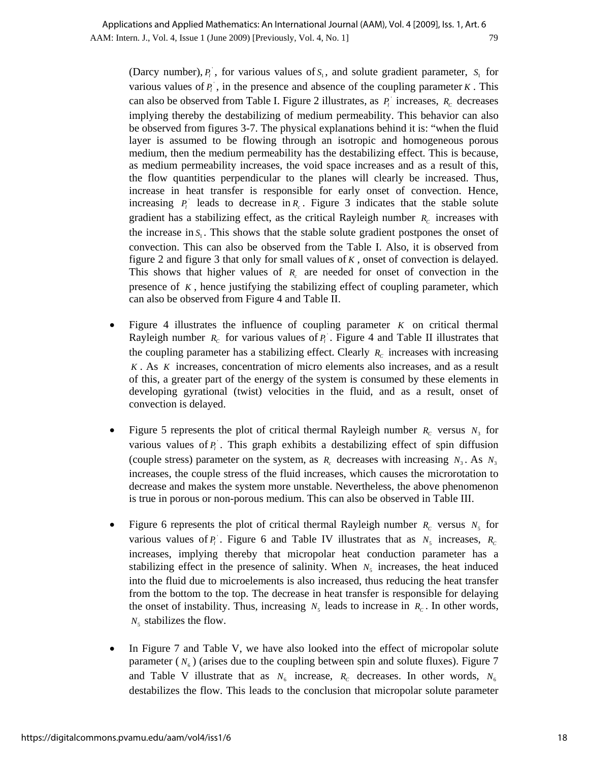(Darcy number),  $P_i$ , for various values of  $S_i$ , and solute gradient parameter,  $S_i$  for various values of  $P_i$ , in the presence and absence of the coupling parameter  $K$ . This can also be observed from Table I. Figure 2 illustrates, as  $P_i$  increases,  $R_c$  decreases implying thereby the destabilizing of medium permeability. This behavior can also be observed from figures 3-7. The physical explanations behind it is: "when the fluid layer is assumed to be flowing through an isotropic and homogeneous porous medium, then the medium permeability has the destabilizing effect. This is because, as medium permeability increases, the void space increases and as a result of this, the flow quantities perpendicular to the planes will clearly be increased. Thus, increase in heat transfer is responsible for early onset of convection. Hence, increasing  $P_i$  leads to decrease in  $R_c$ . Figure 3 indicates that the stable solute gradient has a stabilizing effect, as the critical Rayleigh number  $R_c$  increases with the increase in  $S_1$ . This shows that the stable solute gradient postpones the onset of convection. This can also be observed from the Table I. Also, it is observed from figure 2 and figure 3 that only for small values of *K* , onset of convection is delayed. This shows that higher values of  $R_c$  are needed for onset of convection in the presence of  $K$ , hence justifying the stabilizing effect of coupling parameter, which can also be observed from Figure 4 and Table II.

- Figure 4 illustrates the influence of coupling parameter *K* on critical thermal Rayleigh number  $R_c$  for various values of  $P_i$ . Figure 4 and Table II illustrates that the coupling parameter has a stabilizing effect. Clearly  $R_c$  increases with increasing *K* . As *K* increases, concentration of micro elements also increases, and as a result of this, a greater part of the energy of the system is consumed by these elements in developing gyrational (twist) velocities in the fluid, and as a result, onset of convection is delayed.
- Figure 5 represents the plot of critical thermal Rayleigh number  $R_c$  versus  $N_3$  for various values of  $P_i$ <sup>'</sup>. This graph exhibits a destabilizing effect of spin diffusion (couple stress) parameter on the system, as  $R_c$  decreases with increasing  $N_3$ . As  $N_3$ increases, the couple stress of the fluid increases, which causes the microrotation to decrease and makes the system more unstable. Nevertheless, the above phenomenon is true in porous or non-porous medium. This can also be observed in Table III.
- Figure 6 represents the plot of critical thermal Rayleigh number  $R_c$  versus  $N_5$  for various values of  $P_i$ . Figure 6 and Table IV illustrates that as  $N_5$  increases,  $R_c$ increases, implying thereby that micropolar heat conduction parameter has a stabilizing effect in the presence of salinity. When  $N<sub>5</sub>$  increases, the heat induced into the fluid due to microelements is also increased, thus reducing the heat transfer from the bottom to the top. The decrease in heat transfer is responsible for delaying the onset of instability. Thus, increasing  $N_5$  leads to increase in  $R_c$ . In other words,  $N_5$  stabilizes the flow.
- In Figure 7 and Table V, we have also looked into the effect of micropolar solute parameter  $(N_6)$  (arises due to the coupling between spin and solute fluxes). Figure 7 and Table V illustrate that as  $N_6$  increase,  $R_c$  decreases. In other words,  $N_6$ destabilizes the flow. This leads to the conclusion that micropolar solute parameter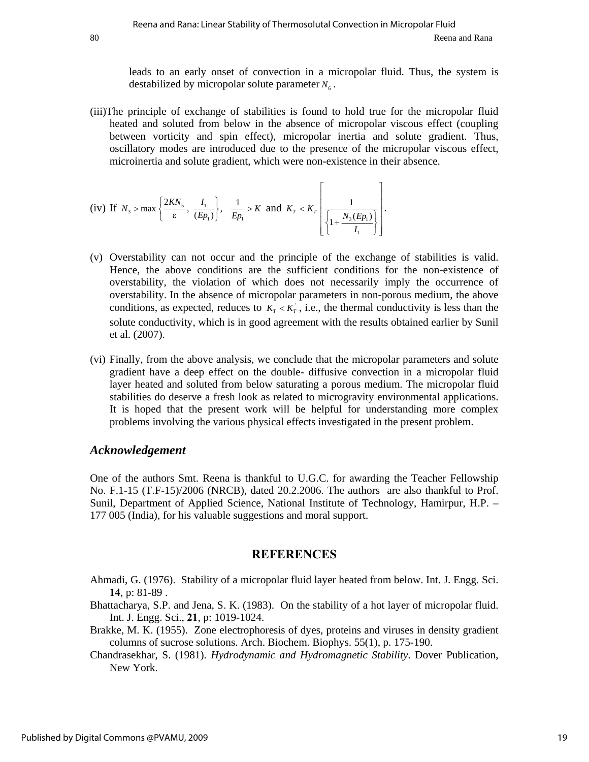leads to an early onset of convection in a micropolar fluid. Thus, the system is destabilized by micropolar solute parameter  $N_6$ .

(iii)The principle of exchange of stabilities is found to hold true for the micropolar fluid heated and soluted from below in the absence of micropolar viscous effect (coupling between vorticity and spin effect), micropolar inertia and solute gradient. Thus, oscillatory modes are introduced due to the presence of the micropolar viscous effect, microinertia and solute gradient, which were non-existence in their absence.

(iv) If 
$$
N_3 > \max \left\{ \frac{2KN_5}{\epsilon}, \frac{I_1}{(Ep_1)} \right\}, \frac{1}{Ep_1} > K
$$
 and  $K_T < K_T$   $\left\{ \frac{1}{\left\{ 1 + \frac{N_3(E_P_1)}{I_1} \right\}} \right\}.$ 

- (v) Overstability can not occur and the principle of the exchange of stabilities is valid. Hence, the above conditions are the sufficient conditions for the non-existence of overstability, the violation of which does not necessarily imply the occurrence of overstability. In the absence of micropolar parameters in non-porous medium, the above conditions, as expected, reduces to  $K_T < K_T$ , i.e., the thermal conductivity is less than the solute conductivity, which is in good agreement with the results obtained earlier by Sunil et al. (2007).
- (vi) Finally, from the above analysis, we conclude that the micropolar parameters and solute gradient have a deep effect on the double- diffusive convection in a micropolar fluid layer heated and soluted from below saturating a porous medium. The micropolar fluid stabilities do deserve a fresh look as related to microgravity environmental applications. It is hoped that the present work will be helpful for understanding more complex problems involving the various physical effects investigated in the present problem.

## *Acknowledgement*

One of the authors Smt. Reena is thankful to U.G.C. for awarding the Teacher Fellowship No. F.1-15 (T.F-15)/2006 (NRCB), dated 20.2.2006. The authors are also thankful to Prof. Sunil, Department of Applied Science, National Institute of Technology, Hamirpur, H.P. – 177 005 (India), for his valuable suggestions and moral support.

## **REFERENCES**

- Ahmadi, G. (1976). Stability of a micropolar fluid layer heated from below. Int. J. Engg. Sci. **14**, p: 81-89 .
- Bhattacharya, S.P. and Jena, S. K. (1983). On the stability of a hot layer of micropolar fluid. Int. J. Engg. Sci., **21**, p: 1019-1024.
- Brakke, M. K. (1955). Zone electrophoresis of dyes, proteins and viruses in density gradient columns of sucrose solutions. Arch. Biochem. Biophys. 55(1), p. 175-190.
- Chandrasekhar, S. (1981). *Hydrodynamic and Hydromagnetic Stability*. Dover Publication, New York.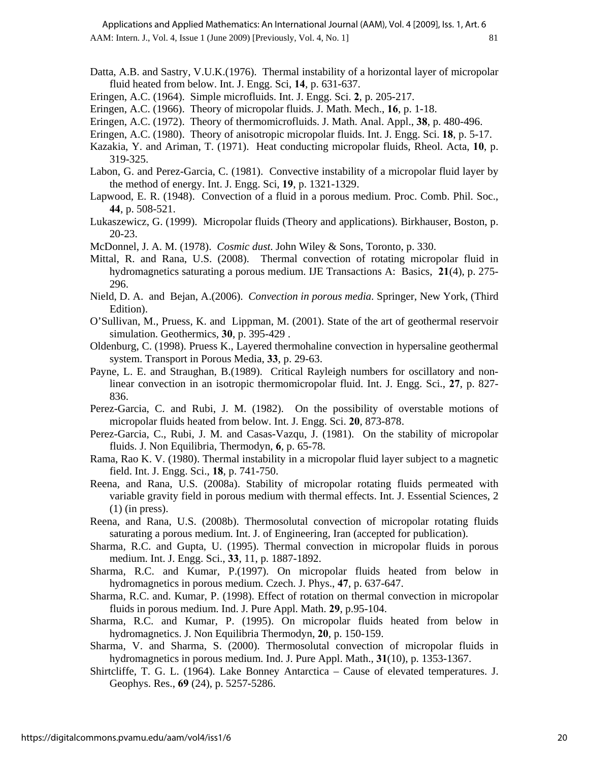AAM: Intern. J., Vol. 4, Issue 1 (June 2009) [Previously, Vol. 4, No. 1] 81 Applications and Applied Mathematics: An International Journal (AAM), Vol. 4 [2009], Iss. 1, Art. 6

- Datta, A.B. and Sastry, V.U.K.(1976). Thermal instability of a horizontal layer of micropolar fluid heated from below. Int. J. Engg. Sci, **14**, p. 631-637.
- Eringen, A.C. (1964). Simple microfluids. Int. J. Engg. Sci. **2**, p. 205-217.
- Eringen, A.C. (1966). Theory of micropolar fluids. J. Math. Mech., **16**, p. 1-18.
- Eringen, A.C. (1972). Theory of thermomicrofluids. J. Math. Anal. Appl., **38**, p. 480-496.
- Eringen, A.C. (1980). Theory of anisotropic micropolar fluids. Int. J. Engg. Sci. **18**, p. 5-17.
- Kazakia, Y. and Ariman, T. (1971). Heat conducting micropolar fluids, Rheol. Acta, **10**, p. 319-325.
- Labon, G. and Perez-Garcia, C. (1981). Convective instability of a micropolar fluid layer by the method of energy. Int. J. Engg. Sci, **19**, p. 1321-1329.
- Lapwood, E. R. (1948). Convection of a fluid in a porous medium. Proc. Comb. Phil. Soc., **44**, p. 508-521.
- Lukaszewicz, G. (1999). Micropolar fluids (Theory and applications). Birkhauser, Boston, p. 20-23.
- McDonnel, J. A. M. (1978). *Cosmic dust*. John Wiley & Sons, Toronto, p. 330.
- Mittal, R. and Rana, U.S. (2008). Thermal convection of rotating micropolar fluid in hydromagnetics saturating a porous medium. IJE Transactions A: Basics, **21**(4), p. 275- 296.
- Nield, D. A. and Bejan, A.(2006). *Convection in porous media*. Springer, New York, (Third Edition).
- O'Sullivan, M., Pruess, K. and Lippman, M. (2001). State of the art of geothermal reservoir simulation. Geothermics, **30**, p. 395-429 .
- Oldenburg, C. (1998). Pruess K., Layered thermohaline convection in hypersaline geothermal system. Transport in Porous Media, **33**, p. 29-63.
- Payne, L. E. and Straughan, B.(1989). Critical Rayleigh numbers for oscillatory and nonlinear convection in an isotropic thermomicropolar fluid. Int. J. Engg. Sci., **27**, p. 827- 836.
- Perez-Garcia, C. and Rubi, J. M. (1982). On the possibility of overstable motions of micropolar fluids heated from below. Int. J. Engg. Sci. **20**, 873-878.
- Perez-Garcia, C., Rubi, J. M. and Casas-Vazqu, J. (1981). On the stability of micropolar fluids. J. Non Equilibria, Thermodyn, **6***,* p. 65-78.
- Rama, Rao K. V. (1980). Thermal instability in a micropolar fluid layer subject to a magnetic field. Int. J. Engg. Sci., **18**, p. 741-750.
- Reena, and Rana, U.S. (2008a). Stability of micropolar rotating fluids permeated with variable gravity field in porous medium with thermal effects. Int. J. Essential Sciences, 2  $(1)$  (in press).
- Reena, and Rana, U.S. (2008b). Thermosolutal convection of micropolar rotating fluids saturating a porous medium. Int. J. of Engineering, Iran (accepted for publication).
- Sharma, R.C. and Gupta, U. (1995). Thermal convection in micropolar fluids in porous medium. Int. J. Engg. Sci., **33**, 11, p. 1887-1892.
- Sharma, R.C. and Kumar, P.(1997). On micropolar fluids heated from below in hydromagnetics in porous medium. Czech. J. Phys., **47**, p. 637-647.
- Sharma, R.C. and. Kumar, P. (1998). Effect of rotation on thermal convection in micropolar fluids in porous medium. Ind. J. Pure Appl. Math. **29**, p.95-104.
- Sharma, R.C. and Kumar, P. (1995). On micropolar fluids heated from below in hydromagnetics. J. Non Equilibria Thermodyn, **20***,* p. 150-159.
- Sharma, V. and Sharma, S. (2000). Thermosolutal convection of micropolar fluids in hydromagnetics in porous medium. Ind. J. Pure Appl. Math., **31**(10), p. 1353-1367.
- Shirtcliffe, T. G. L. (1964). Lake Bonney Antarctica Cause of elevated temperatures. J. Geophys. Res., **69** (24), p. 5257-5286.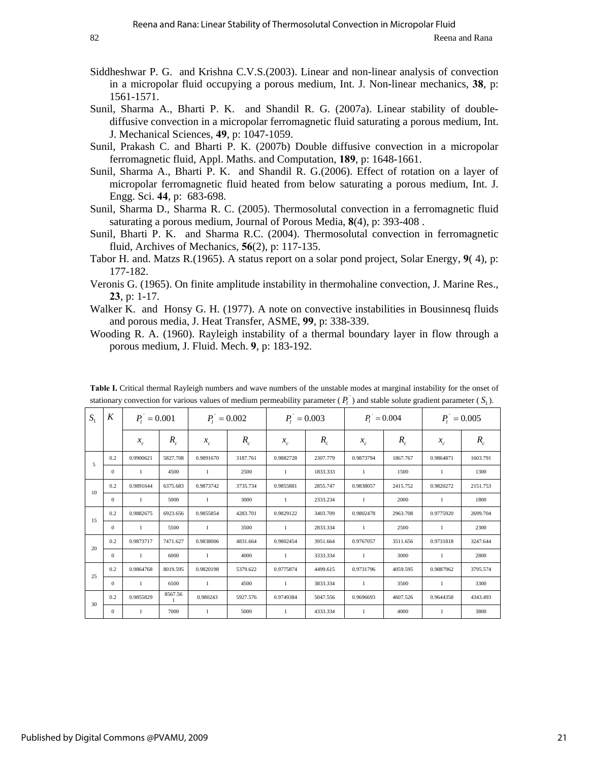- Siddheshwar P. G. and Krishna C.V.S.(2003). Linear and non-linear analysis of convection in a micropolar fluid occupying a porous medium, Int. J. Non-linear mechanics, **38**, p: 1561-1571.
- Sunil, Sharma A., Bharti P. K. and Shandil R. G. (2007a). Linear stability of doublediffusive convection in a micropolar ferromagnetic fluid saturating a porous medium, Int. J. Mechanical Sciences, **49**, p: 1047-1059.
- Sunil, Prakash C. and Bharti P. K. (2007b) Double diffusive convection in a micropolar ferromagnetic fluid, Appl. Maths. and Computation, **189**, p: 1648-1661.
- Sunil, Sharma A., Bharti P. K. and Shandil R. G.(2006). Effect of rotation on a layer of micropolar ferromagnetic fluid heated from below saturating a porous medium, Int. J. Engg. Sci. **44**, p: 683-698.
- Sunil, Sharma D., Sharma R. C. (2005). Thermosolutal convection in a ferromagnetic fluid saturating a porous medium, Journal of Porous Media, **8**(4), p: 393-408 .
- Sunil, Bharti P. K. and Sharma R.C. (2004). Thermosolutal convection in ferromagnetic fluid, Archives of Mechanics, **56**(2), p: 117-135.
- Tabor H. and. Matzs R.(1965). A status report on a solar pond project, Solar Energy, **9**( 4), p: 177-182.
- Veronis G. (1965). On finite amplitude instability in thermohaline convection, J. Marine Res., **23**, p: 1-17.
- Walker K. and Honsy G. H. (1977). A note on convective instabilities in Bousinnesq fluids and porous media, J. Heat Transfer, ASME, **99**, p: 338-339.
- Wooding R. A. (1960). Rayleigh instability of a thermal boundary layer in flow through a porous medium, J. Fluid. Mech. **9**, p: 183-192.

| $\sim$ $\sim$ $\sim$ |              |                |                         |                |          |               |          |                 |          |               |          |
|----------------------|--------------|----------------|-------------------------|----------------|----------|---------------|----------|-----------------|----------|---------------|----------|
| S <sub>1</sub>       | $\cal K$     | $P_i = 0.001$  |                         | $P_1 = 0.002$  |          | $P_i = 0.003$ |          | $P_{1} = 0.004$ |          | $P_1 = 0.005$ |          |
|                      |              | $x_c$          | $R_c$                   | $x_c$          | $R_{c}$  | $x_c$         | $R_c$    | $x_c$           | $R_c$    | $x_c$         | $R_c$    |
| 5                    | 0.2          | 0.9900621      | 5827.708                | 0.9891670      | 3187.761 | 0.9882728     | 2307.779 | 0.9873794       | 1867.767 | 0.9864871     | 1603.791 |
|                      | $\mathbf{0}$ | 1              | 4500                    | -1             | 2500     | $\mathbf{1}$  | 1833.333 | -1              | 1500     | 1             | 1300     |
|                      | 0.2          | 0.9891644      | 6375.683                | 0.9873742      | 3735.734 | 0.9855881     | 2855.747 | 0.9838057       | 2415.752 | 0.9820272     | 2151.753 |
| 10                   | $\Omega$     | 1              | 5000                    | -1             | 3000     | $\mathbf{1}$  | 2333.234 | 1               | 2000     | -1            | 1800     |
| 15                   | 0.2          | 0.9882675      | 6923.656                | 0.9855854      | 4283.701 | 0.9829122     | 3403.709 | 0.9802478       | 2963.708 | 0.9775920     | 2699.704 |
|                      | $\Omega$     | $\mathbf{1}$   | 5500                    | -1             | 3500     | 1             | 2833.334 | 1               | 2500     | -1            | 2300     |
|                      | 0.2          | 0.9873717      | 7471.627                | 0.9838006      | 4831.664 | 0.9802454     | 3951.664 | 0.9767057       | 3511.656 | 0.9731818     | 3247.644 |
| 20                   | $\Omega$     | $\mathbf{1}$   | 6000                    | -1             | 4000     | $\mathbf{1}$  | 3333.334 | -1              | 3000     | -1            | 2800     |
|                      | 0.2          | 0.9864768      | 8019.595                | 0.9820198      | 5379.622 | 0.9775874     | 4499.615 | 0.9731796       | 4059.595 | 0.9887962     | 3795.574 |
| 25                   | $\Omega$     | $\overline{1}$ | 6500                    | $\overline{1}$ | 4500     | $\mathbf{1}$  | 3833.334 | -1              | 3500     | -1            | 3300     |
|                      | 0.2          | 0.9855829      | 8567.56<br>$\mathbf{1}$ | 0.980243       | 5927.576 | 0.9749384     | 5047.556 | 0.9696693       | 4607.526 | 0.9644358     | 4343.493 |
| 30                   | $\mathbf{0}$ | 1              | 7000                    | -1             | 5000     | 1             | 4333.334 | 1               | 4000     | -1            | 3800     |

Table I. Critical thermal Rayleigh numbers and wave numbers of the unstable modes at marginal instability for the onset of stationary convection for various values of medium permeability parameter  $(P_i)$  and stable solute gradient parameter  $(S_i)$ .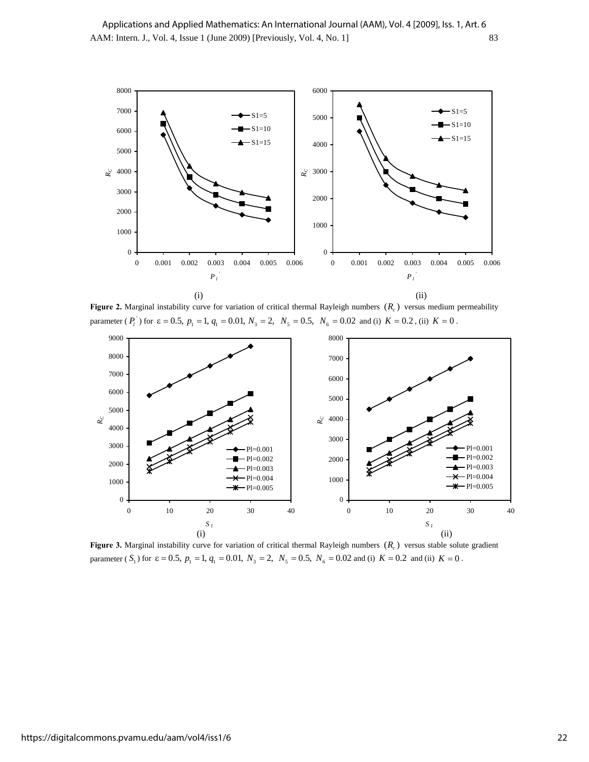

**Figure 2.** Marginal instability curve for variation of critical thermal Rayleigh numbers  $(R_c)$  versus medium permeability parameter ( $P_i$ ) for  $\varepsilon = 0.5$ ,  $p_1 = 1$ ,  $q_1 = 0.01$ ,  $N_3 = 2$ ,  $N_5 = 0.5$ ,  $N_6 = 0.02$  and (i)  $K = 0.2$ , (ii)  $K = 0$ .



**Figure 3.** Marginal instability curve for variation of critical thermal Rayleigh numbers  $(R_c)$  versus stable solute gradient parameter (  $S_1$ ) for  $\varepsilon = 0.5$ ,  $p_1 = 1$ ,  $q_1 = 0.01$ ,  $N_3 = 2$ ,  $N_5 = 0.5$ ,  $N_6 = 0.02$  and (i)  $K = 0.2$  and (ii)  $K = 0$ .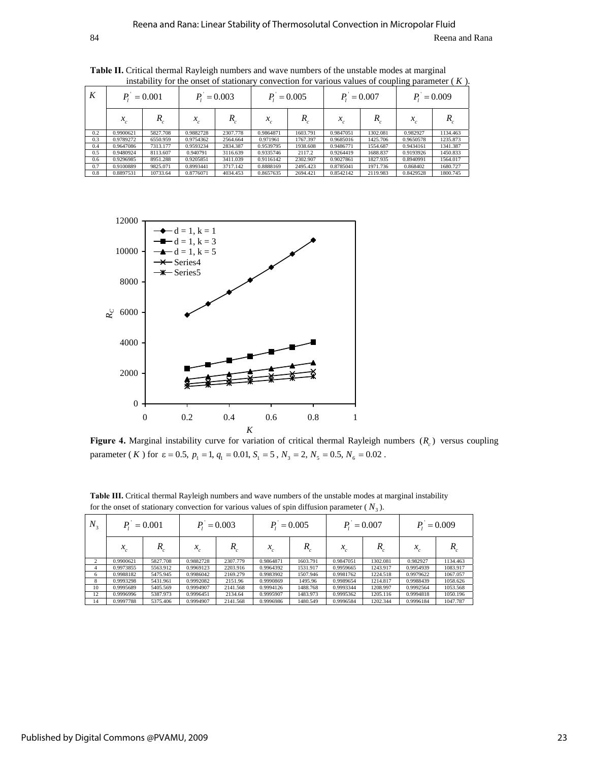| K   | $= 0.001$ |          | $= 0.003$   |          | $= 0.005$   |          | $= 0.007$   |          | $= 0.009$ |          |
|-----|-----------|----------|-------------|----------|-------------|----------|-------------|----------|-----------|----------|
|     | $x_c$     | R        | $\lambda_c$ | R        | $\lambda_c$ |          | $\lambda_c$ |          | $x_c$     |          |
| 0.2 | 0.9900621 | 5827.708 | 0.9882728   | 2307.778 | 0.9864871   | 1603.791 | 0.9847051   | 1302.081 | 0.982927  | 1134.463 |
| 0.3 | 0.9789272 | 6550.959 | 0.9754362   | 2564.664 | 0.971961    | 1767.397 | 0.9685016   | 1425.706 | 0.9650578 | 1235.873 |
| 0.4 | 0.9647086 | 7313.177 | 0.9593234   | 2834.387 | 0.9539795   | 1938.608 | 0.9486771   | 1554.687 | 0.9434161 | 1341.387 |
| 0.5 | 0.9480924 | 8113.607 | 0.940791    | 3116.639 | 0.9335746   | 2117.2   | 0.9264419   | 1688.837 | 0.9193926 | 1450.833 |
| 0.6 | 0.9296985 | 8951.288 | 0.9205851   | 3411.039 | 0.9116142   | 2302.907 | 0.9027861   | 1827.935 | 0.8940991 | 1564.017 |
| 0.7 | 0.9100889 | 9825.071 | 0.8993441   | 3717.142 | 0.8888169   | 2495.423 | 0.8785041   | 1971.736 | 0.868402  | 1680.727 |
| 0.8 | 0.8897531 | 10733.64 | 0.8776071   | 4034.453 | 0.8657635   | 2694.421 | 0.8542142   | 2119.983 | 0.8429528 | 1800.745 |

**Table II.** Critical thermal Rayleigh numbers and wave numbers of the unstable modes at marginal instability for the onset of stationary convection for various values of coupling parameter ( *K* ).



**Figure 4.** Marginal instability curve for variation of critical thermal Rayleigh numbers  $(R_c)$  versus coupling parameter (*K*) for  $\varepsilon = 0.5$ ,  $p_1 = 1$ ,  $q_1 = 0.01$ ,  $S_1 = 5$ ,  $N_3 = 2$ ,  $N_5 = 0.5$ ,  $N_6 = 0.02$ .

| $N_{\rm o}$ | $= 0.001$ |          | $P_1 = 0.003$    |          | $= 0.005$ |          | $P_1 = 0.007$ |                  | $= 0.009$ |             |
|-------------|-----------|----------|------------------|----------|-----------|----------|---------------|------------------|-----------|-------------|
|             | $x_c$     | $R_c$    | v<br>$\lambda_c$ | $R_{c}$  | $x_{c}$   | R.       | $x_{c}$       | $\boldsymbol{R}$ | $x_c$     | $R_{\rm c}$ |
| 2           | 0.9900621 | 5827.708 | 0.9882728        | 2307.779 | 0.9864871 | 1603.791 | 0.9847051     | 1302.081         | 0.982927  | 1134.463    |
| 4           | 0.9973855 | 5563.912 | 0.9969123        | 2203.916 | 0.9964392 | 1531.917 | 0.9959665     | 1243.917         | 0.9954939 | 1083.917    |
| 6           | 0.9988182 | 5475.945 | 0.9986042        | 2169.279 | 0.9983902 | 1507.946 | 0.9981762     | 1224.518         | 0.9979622 | 1067.057    |
| 8           | 0.9993298 | 5431.961 | 0.9992082        | 2151.96  | 0.9990869 | 1495.96  | 0.9989654     | 1214.817         | 0.9988439 | 1058.626    |
| 10          | 0.9995689 | 5405.569 | 0.9994907        | 2141.568 | 0.9994126 | 1488.768 | 0.9993344     | 1208.997         | 0.9992564 | 1053.568    |
| 12          | 0.9996996 | 5387.973 | 0.9996451        | 2134.64  | 0.9995907 | 1483.973 | 0.9995362     | 1205.116         | 0.9994818 | 1050.196    |
| 14          | 0.9997788 | 5375.406 | 0.9994907        | 2141.568 | 0.9996986 | 1480.549 | 0.9996584     | 1202.344         | 0.9996184 | 1047.787    |

**Table III.** Critical thermal Rayleigh numbers and wave numbers of the unstable modes at marginal instability for the onset of stationary convection for various values of spin diffusion parameter ( $N<sub>3</sub>$ ).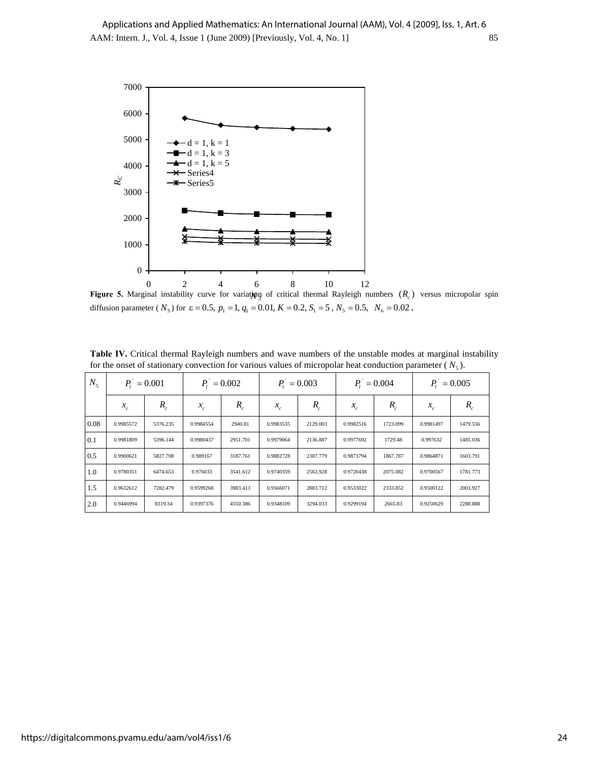

**Figure 5.** Marginal instability curve for variation of critical thermal Rayleigh numbers  $(R_c)$  versus micropolar spin diffusion parameter ( $N_3$ ) for  $\varepsilon = 0.5$ ,  $p_1 = 1$ ,  $q_1 = 0.01$ ,  $K = 0.2$ ,  $S_1 = 5$ ,  $N_5 = 0.5$ ,  $N_6 = 0.02$ .

Table IV. Critical thermal Rayleigh numbers and wave numbers of the unstable modes at marginal instability for the onset of stationary convection for various values of micropolar heat conduction parameter ( $N<sub>5</sub>$ ).

| $N_{\rm s}$ | $P_1 = 0.001$ |          | $P_1 = 0.002$ |          | $P_1 = 0.003$ |          | $P_1 = 0.004$ |          | $P_1 = 0.005$ |          |
|-------------|---------------|----------|---------------|----------|---------------|----------|---------------|----------|---------------|----------|
|             | $x_c$         | $R_c$    | $x_{c}$       | $R_c$    | $x_{c}$       | $R_c$    | $x_{c}$       | $R_{c}$  | $x_{c}$       | $R_c$    |
| 0.08        | 0.9985572     | 5376.235 | 0.9984554     | 2940.81  | 0.9983535     | 2129.003 | 0.9982516     | 1723.099 | 0.9981497     | 1479.556 |
| 0.1         | 0.9981809     | 5396.144 | 0.9980437     | 2951.701 | 0.9979064     | 2136.887 | 0.9977692     | 1729.48  | 0.997632      | 1485.036 |
| 0.5         | 0.9900621     | 5827.708 | 0.989167      | 3187.761 | 0.9882728     | 2307.779 | 0.9873794     | 1867.787 | 0.9864871     | 1603.791 |
| 1.0         | 0.9780351     | 6474.653 | 0.976033      | 3541.612 | 0.9740359     | 2563.928 | 0.9720438     | 2075.082 | 0.9700567     | 1781.773 |
| 1.5         | 0.9632612     | 7282.479 | 0.9599268     | 3983.413 | 0.9566071     | 2883.712 | 0.9533022     | 2333.852 | 0.9500122     | 2003.927 |
| 2.0         | 0.9446994     | 8319.34  | 0.9397376     | 4550.386 | 0.9348109     | 3294.033 | 0.9299194     | 2665.83  | 0.9250629     | 2288.888 |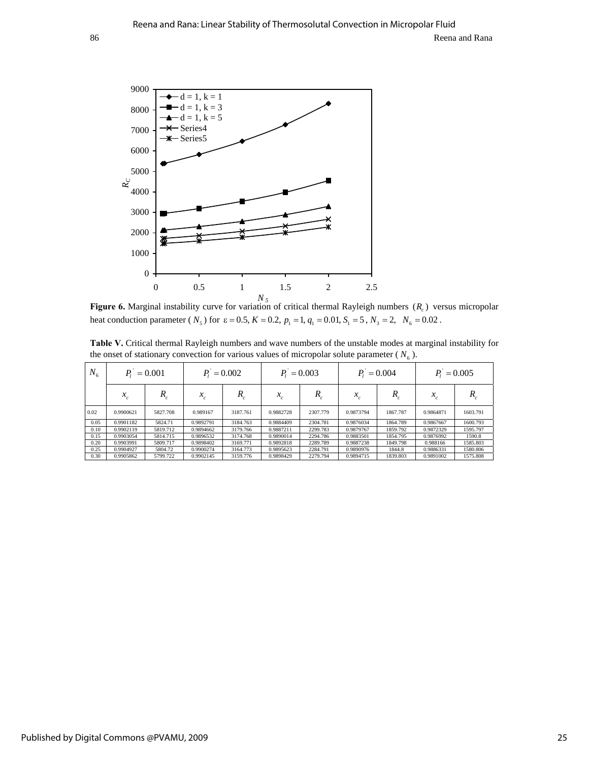

**Figure 6.** Marginal instability curve for variation of critical thermal Rayleigh numbers  $(R_c)$  versus micropolar heat conduction parameter ( $N_5$ ) for  $\varepsilon = 0.5$ ,  $K = 0.2$ ,  $p_1 = 1$ ,  $q_1 = 0.01$ ,  $S_1 = 5$ ,  $N_3 = 2$ ,  $N_6 = 0.02$ .

**Table V.** Critical thermal Rayleigh numbers and wave numbers of the unstable modes at marginal instability for the onset of stationary convection for various values of micropolar solute parameter ( $N<sub>6</sub>$ ).

| $N_{6}$ | $P_1 = 0.001$ |          | $P_1 = 0.002$ |          | $P_1 = 0.003$    |          | $P_1 = 0.004$   |          | $P_1 = 0.005$          |          |
|---------|---------------|----------|---------------|----------|------------------|----------|-----------------|----------|------------------------|----------|
|         | $x_c$         | R        | $x_c$         | R        | v<br>$\lambda_c$ | R        | $\mathcal{N}_c$ |          | $\mathcal{N}_{\alpha}$ |          |
| 0.02    | 0.9900621     | 5827.708 | 0.989167      | 3187.761 | 0.9882728        | 2307.779 | 0.9873794       | 1867.787 | 0.9864871              | 1603.791 |
| 0.05    | 0.9901182     | 5824.71  | 0.9892791     | 3184.763 | 0.9884409        | 2304.781 | 0.9876034       | 1864.789 | 0.9867667              | 1600.793 |
| 0.10    | 0.9902119     | 5819.712 | 0.9894662     | 3179.766 | 0.9887211        | 2299.783 | 0.9879767       | 1859.792 | 0.9872329              | 1595.797 |
| 0.15    | 0.9903054     | 5814.715 | 0.9896532     | 3174.768 | 0.9890014        | 2294.786 | 0.9883501       | 1854.795 | 0.9876992              | 1590.8   |
| 0.20    | 0.9903991     | 5809.717 | 0.9898402     | 3169.771 | 0.9892818        | 2289.789 | 0.9887238       | 1849.798 | 0.988166               | 1585.803 |
| 0.25    | 0.9904927     | 5804.72  | 0.9900274     | 3164.773 | 0.9895623        | 2284.791 | 0.9890976       | 1844.8   | 0.9886331              | 1580.806 |
| 0.30    | 0.9905862     | 5799.722 | 0.9902145     | 3159.776 | 0.9898429        | 2279.794 | 0.9894715       | 1839.803 | 0.9891002              | 1575.808 |